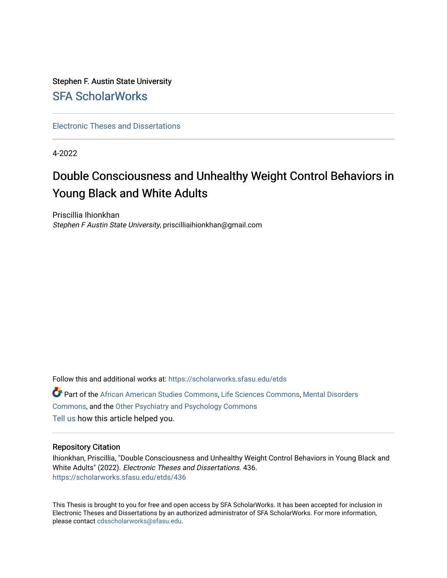# Stephen F. Austin State University [SFA ScholarWorks](https://scholarworks.sfasu.edu/)

[Electronic Theses and Dissertations](https://scholarworks.sfasu.edu/etds)

4-2022

# Double Consciousness and Unhealthy Weight Control Behaviors in Young Black and White Adults

Priscillia Ihionkhan Stephen F Austin State University, priscilliaihionkhan@gmail.com

Follow this and additional works at: [https://scholarworks.sfasu.edu/etds](https://scholarworks.sfasu.edu/etds?utm_source=scholarworks.sfasu.edu%2Fetds%2F436&utm_medium=PDF&utm_campaign=PDFCoverPages) 

Part of the [African American Studies Commons,](https://network.bepress.com/hgg/discipline/567?utm_source=scholarworks.sfasu.edu%2Fetds%2F436&utm_medium=PDF&utm_campaign=PDFCoverPages) [Life Sciences Commons,](https://network.bepress.com/hgg/discipline/1016?utm_source=scholarworks.sfasu.edu%2Fetds%2F436&utm_medium=PDF&utm_campaign=PDFCoverPages) [Mental Disorders](https://network.bepress.com/hgg/discipline/968?utm_source=scholarworks.sfasu.edu%2Fetds%2F436&utm_medium=PDF&utm_campaign=PDFCoverPages)  [Commons](https://network.bepress.com/hgg/discipline/968?utm_source=scholarworks.sfasu.edu%2Fetds%2F436&utm_medium=PDF&utm_campaign=PDFCoverPages), and the [Other Psychiatry and Psychology Commons](https://network.bepress.com/hgg/discipline/992?utm_source=scholarworks.sfasu.edu%2Fetds%2F436&utm_medium=PDF&utm_campaign=PDFCoverPages) [Tell us](http://sfasu.qualtrics.com/SE/?SID=SV_0qS6tdXftDLradv) how this article helped you.

### Repository Citation

Ihionkhan, Priscillia, "Double Consciousness and Unhealthy Weight Control Behaviors in Young Black and White Adults" (2022). Electronic Theses and Dissertations. 436. [https://scholarworks.sfasu.edu/etds/436](https://scholarworks.sfasu.edu/etds/436?utm_source=scholarworks.sfasu.edu%2Fetds%2F436&utm_medium=PDF&utm_campaign=PDFCoverPages) 

This Thesis is brought to you for free and open access by SFA ScholarWorks. It has been accepted for inclusion in Electronic Theses and Dissertations by an authorized administrator of SFA ScholarWorks. For more information, please contact [cdsscholarworks@sfasu.edu.](mailto:cdsscholarworks@sfasu.edu)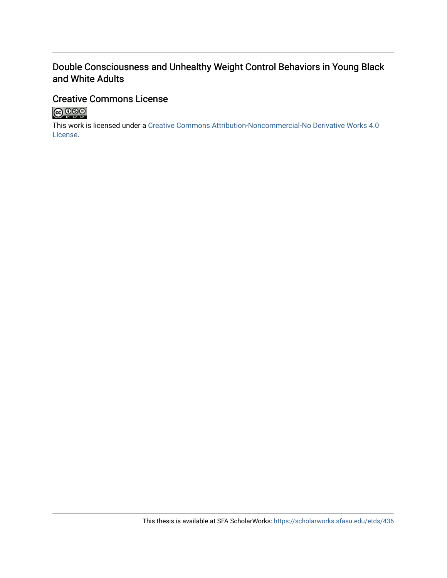# Double Consciousness and Unhealthy Weight Control Behaviors in Young Black and White Adults

# Creative Commons License



This work is licensed under a [Creative Commons Attribution-Noncommercial-No Derivative Works 4.0](https://creativecommons.org/licenses/by-nc-nd/4.0/) [License](https://creativecommons.org/licenses/by-nc-nd/4.0/).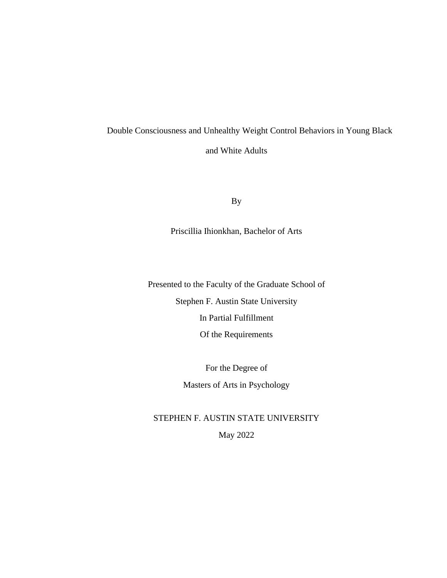# Double Consciousness and Unhealthy Weight Control Behaviors in Young Black and White Adults

By

Priscillia Ihionkhan, Bachelor of Arts

Presented to the Faculty of the Graduate School of Stephen F. Austin State University In Partial Fulfillment Of the Requirements

> For the Degree of Masters of Arts in Psychology

STEPHEN F. AUSTIN STATE UNIVERSITY May 2022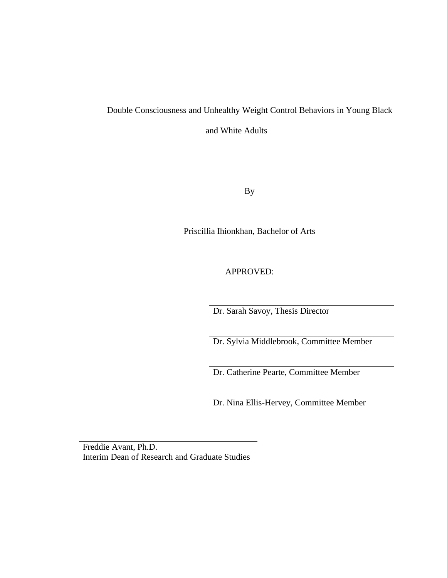# Double Consciousness and Unhealthy Weight Control Behaviors in Young Black and White Adults

By

Priscillia Ihionkhan, Bachelor of Arts

APPROVED:

Dr. Sarah Savoy, Thesis Director

Dr. Sylvia Middlebrook, Committee Member

Dr. Catherine Pearte, Committee Member

Dr. Nina Ellis-Hervey, Committee Member

Freddie Avant, Ph.D. Interim Dean of Research and Graduate Studies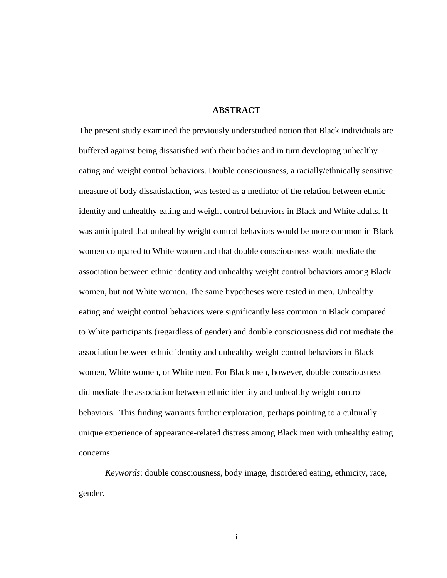### **ABSTRACT**

The present study examined the previously understudied notion that Black individuals are buffered against being dissatisfied with their bodies and in turn developing unhealthy eating and weight control behaviors. Double consciousness, a racially/ethnically sensitive measure of body dissatisfaction, was tested as a mediator of the relation between ethnic identity and unhealthy eating and weight control behaviors in Black and White adults. It was anticipated that unhealthy weight control behaviors would be more common in Black women compared to White women and that double consciousness would mediate the association between ethnic identity and unhealthy weight control behaviors among Black women, but not White women. The same hypotheses were tested in men. Unhealthy eating and weight control behaviors were significantly less common in Black compared to White participants (regardless of gender) and double consciousness did not mediate the association between ethnic identity and unhealthy weight control behaviors in Black women, White women, or White men. For Black men, however, double consciousness did mediate the association between ethnic identity and unhealthy weight control behaviors. This finding warrants further exploration, perhaps pointing to a culturally unique experience of appearance-related distress among Black men with unhealthy eating concerns.

*Keywords*: double consciousness, body image, disordered eating, ethnicity, race, gender.

i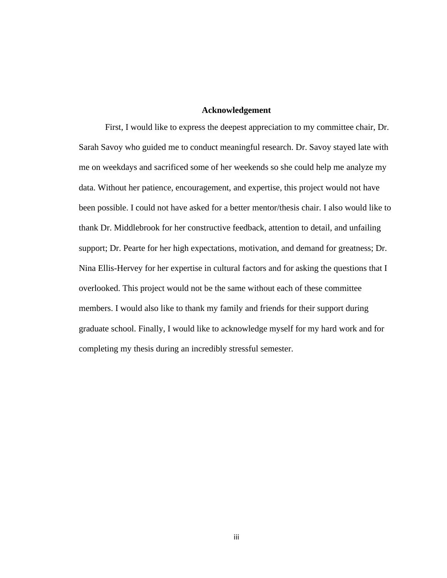#### **Acknowledgement**

First, I would like to express the deepest appreciation to my committee chair, Dr. Sarah Savoy who guided me to conduct meaningful research. Dr. Savoy stayed late with me on weekdays and sacrificed some of her weekends so she could help me analyze my data. Without her patience, encouragement, and expertise, this project would not have been possible. I could not have asked for a better mentor/thesis chair. I also would like to thank Dr. Middlebrook for her constructive feedback, attention to detail, and unfailing support; Dr. Pearte for her high expectations, motivation, and demand for greatness; Dr. Nina Ellis-Hervey for her expertise in cultural factors and for asking the questions that I overlooked. This project would not be the same without each of these committee members. I would also like to thank my family and friends for their support during graduate school. Finally, I would like to acknowledge myself for my hard work and for completing my thesis during an incredibly stressful semester.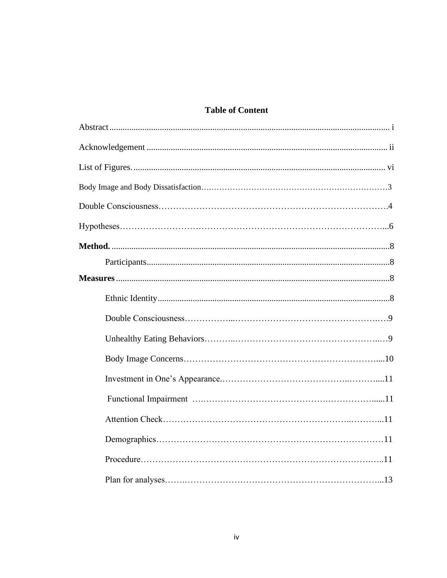# **Table of Content**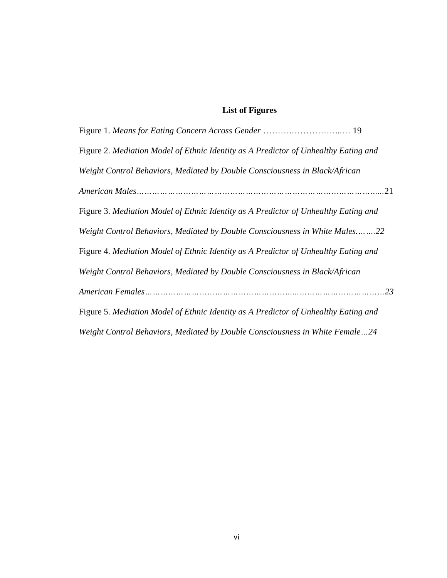# **List of Figures**

| Figure 2. Mediation Model of Ethnic Identity as A Predictor of Unhealthy Eating and |
|-------------------------------------------------------------------------------------|
| Weight Control Behaviors, Mediated by Double Consciousness in Black/African         |
|                                                                                     |
| Figure 3. Mediation Model of Ethnic Identity as A Predictor of Unhealthy Eating and |
| Weight Control Behaviors, Mediated by Double Consciousness in White Males22         |
| Figure 4. Mediation Model of Ethnic Identity as A Predictor of Unhealthy Eating and |
| Weight Control Behaviors, Mediated by Double Consciousness in Black/African         |
|                                                                                     |
| Figure 5. Mediation Model of Ethnic Identity as A Predictor of Unhealthy Eating and |
| Weight Control Behaviors, Mediated by Double Consciousness in White Female24        |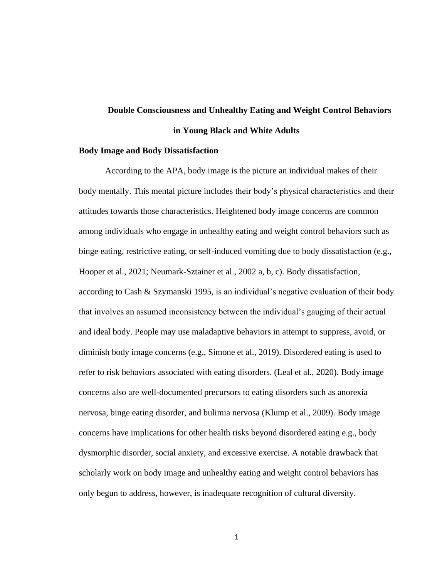# **Double Consciousness and Unhealthy Eating and Weight Control Behaviors in Young Black and White Adults**

#### **Body Image and Body Dissatisfaction**

According to the APA, body image is the picture an individual makes of their body mentally. This mental picture includes their body's physical characteristics and their attitudes towards those characteristics. Heightened body image concerns are common among individuals who engage in unhealthy eating and weight control behaviors such as binge eating, restrictive eating, or self-induced vomiting due to body dissatisfaction (e.g., Hooper et al., 2021; Neumark-Sztainer et al., 2002 a, b, c). Body dissatisfaction, according to Cash & Szymanski 1995, is an individual's negative evaluation of their body that involves an assumed inconsistency between the individual's gauging of their actual and ideal body. People may use maladaptive behaviors in attempt to suppress, avoid, or diminish body image concerns (e.g., Simone et al., 2019). Disordered eating is used to refer to risk behaviors associated with eating disorders. (Leal et al., 2020). Body image concerns also are well-documented precursors to eating disorders such as anorexia nervosa, binge eating disorder, and bulimia nervosa (Klump et al., 2009). Body image concerns have implications for other health risks beyond disordered eating e.g., body dysmorphic disorder, social anxiety, and excessive exercise. A notable drawback that scholarly work on body image and unhealthy eating and weight control behaviors has only begun to address, however, is inadequate recognition of cultural diversity.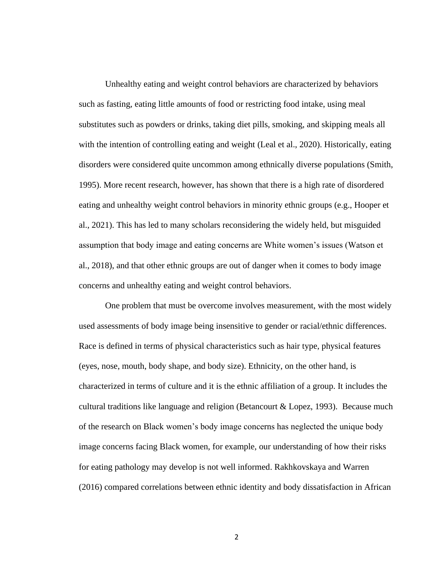Unhealthy eating and weight control behaviors are characterized by behaviors such as fasting, eating little amounts of food or restricting food intake, using meal substitutes such as powders or drinks, taking diet pills, smoking, and skipping meals all with the intention of controlling eating and weight (Leal et al., 2020). Historically, eating disorders were considered quite uncommon among ethnically diverse populations (Smith, 1995). More recent research, however, has shown that there is a high rate of disordered eating and unhealthy weight control behaviors in minority ethnic groups (e.g., Hooper et al., 2021). This has led to many scholars reconsidering the widely held, but misguided assumption that body image and eating concerns are White women's issues (Watson et al., 2018), and that other ethnic groups are out of danger when it comes to body image concerns and unhealthy eating and weight control behaviors.

One problem that must be overcome involves measurement, with the most widely used assessments of body image being insensitive to gender or racial/ethnic differences. Race is defined in terms of physical characteristics such as hair type, physical features (eyes, nose, mouth, body shape, and body size). Ethnicity, on the other hand, is characterized in terms of culture and it is the ethnic affiliation of a group. It includes the cultural traditions like language and religion (Betancourt & Lopez, 1993). Because much of the research on Black women's body image concerns has neglected the unique body image concerns facing Black women, for example, our understanding of how their risks for eating pathology may develop is not well informed. Rakhkovskaya and Warren (2016) compared correlations between ethnic identity and body dissatisfaction in African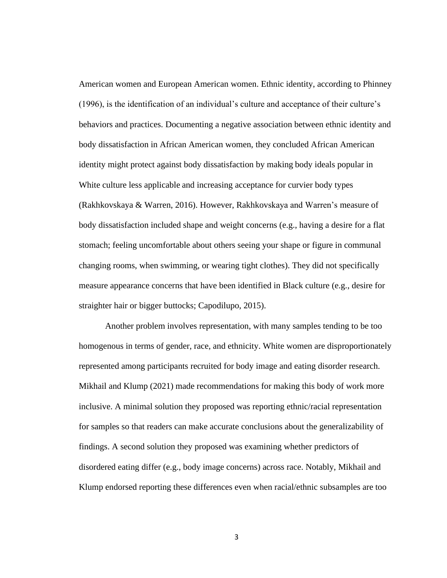American women and European American women. Ethnic identity, according to Phinney (1996), is the identification of an individual's culture and acceptance of their culture's behaviors and practices. Documenting a negative association between ethnic identity and body dissatisfaction in African American women, they concluded African American identity might protect against body dissatisfaction by making body ideals popular in White culture less applicable and increasing acceptance for curvier body types (Rakhkovskaya & Warren, 2016). However, Rakhkovskaya and Warren's measure of body dissatisfaction included shape and weight concerns (e.g., having a desire for a flat stomach; feeling uncomfortable about others seeing your shape or figure in communal changing rooms, when swimming, or wearing tight clothes). They did not specifically measure appearance concerns that have been identified in Black culture (e.g., desire for straighter hair or bigger buttocks; Capodilupo, 2015).

Another problem involves representation, with many samples tending to be too homogenous in terms of gender, race, and ethnicity. White women are disproportionately represented among participants recruited for body image and eating disorder research. Mikhail and Klump (2021) made recommendations for making this body of work more inclusive. A minimal solution they proposed was reporting ethnic/racial representation for samples so that readers can make accurate conclusions about the generalizability of findings. A second solution they proposed was examining whether predictors of disordered eating differ (e.g., body image concerns) across race. Notably, Mikhail and Klump endorsed reporting these differences even when racial/ethnic subsamples are too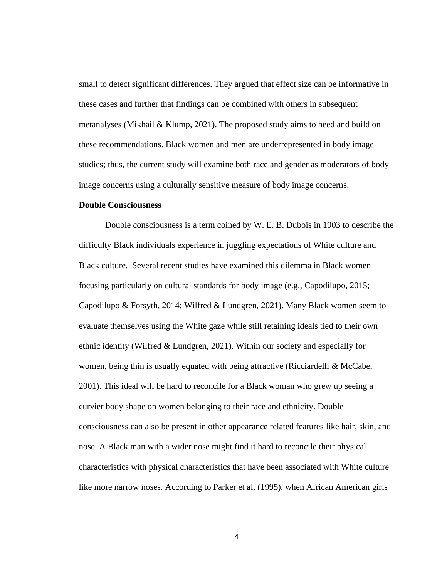small to detect significant differences. They argued that effect size can be informative in these cases and further that findings can be combined with others in subsequent metanalyses (Mikhail & Klump, 2021). The proposed study aims to heed and build on these recommendations. Black women and men are underrepresented in body image studies; thus, the current study will examine both race and gender as moderators of body image concerns using a culturally sensitive measure of body image concerns.

### **Double Consciousness**

Double consciousness is a term coined by W. E. B. Dubois in 1903 to describe the difficulty Black individuals experience in juggling expectations of White culture and Black culture. Several recent studies have examined this dilemma in Black women focusing particularly on cultural standards for body image (e.g., Capodilupo, 2015; Capodilupo & Forsyth, 2014; Wilfred & Lundgren, 2021). Many Black women seem to evaluate themselves using the White gaze while still retaining ideals tied to their own ethnic identity (Wilfred & Lundgren, 2021). Within our society and especially for women, being thin is usually equated with being attractive (Ricciardelli  $&$  McCabe, 2001). This ideal will be hard to reconcile for a Black woman who grew up seeing a curvier body shape on women belonging to their race and ethnicity. Double consciousness can also be present in other appearance related features like hair, skin, and nose. A Black man with a wider nose might find it hard to reconcile their physical characteristics with physical characteristics that have been associated with White culture like more narrow noses. According to Parker et al. (1995), when African American girls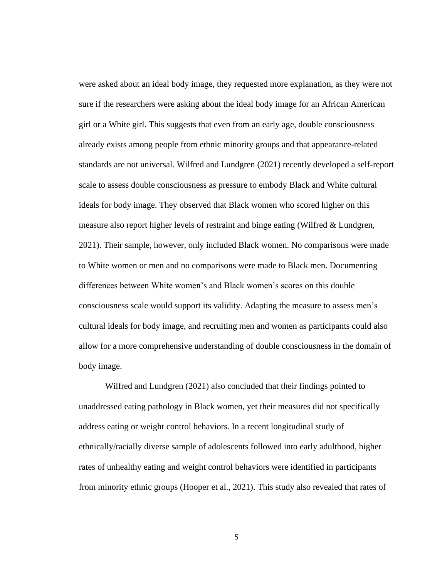were asked about an ideal body image, they requested more explanation, as they were not sure if the researchers were asking about the ideal body image for an African American girl or a White girl. This suggests that even from an early age, double consciousness already exists among people from ethnic minority groups and that appearance-related standards are not universal. Wilfred and Lundgren (2021) recently developed a self-report scale to assess double consciousness as pressure to embody Black and White cultural ideals for body image. They observed that Black women who scored higher on this measure also report higher levels of restraint and binge eating (Wilfred & Lundgren, 2021). Their sample, however, only included Black women. No comparisons were made to White women or men and no comparisons were made to Black men. Documenting differences between White women's and Black women's scores on this double consciousness scale would support its validity. Adapting the measure to assess men's cultural ideals for body image, and recruiting men and women as participants could also allow for a more comprehensive understanding of double consciousness in the domain of body image.

Wilfred and Lundgren (2021) also concluded that their findings pointed to unaddressed eating pathology in Black women, yet their measures did not specifically address eating or weight control behaviors. In a recent longitudinal study of ethnically/racially diverse sample of adolescents followed into early adulthood, higher rates of unhealthy eating and weight control behaviors were identified in participants from minority ethnic groups (Hooper et al., 2021). This study also revealed that rates of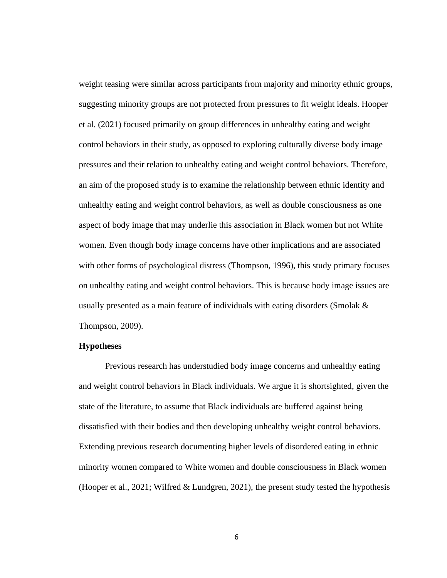weight teasing were similar across participants from majority and minority ethnic groups, suggesting minority groups are not protected from pressures to fit weight ideals. Hooper et al. (2021) focused primarily on group differences in unhealthy eating and weight control behaviors in their study, as opposed to exploring culturally diverse body image pressures and their relation to unhealthy eating and weight control behaviors. Therefore, an aim of the proposed study is to examine the relationship between ethnic identity and unhealthy eating and weight control behaviors, as well as double consciousness as one aspect of body image that may underlie this association in Black women but not White women. Even though body image concerns have other implications and are associated with other forms of psychological distress (Thompson, 1996), this study primary focuses on unhealthy eating and weight control behaviors. This is because body image issues are usually presented as a main feature of individuals with eating disorders (Smolak  $\&$ Thompson, 2009).

### **Hypotheses**

Previous research has understudied body image concerns and unhealthy eating and weight control behaviors in Black individuals. We argue it is shortsighted, given the state of the literature, to assume that Black individuals are buffered against being dissatisfied with their bodies and then developing unhealthy weight control behaviors. Extending previous research documenting higher levels of disordered eating in ethnic minority women compared to White women and double consciousness in Black women (Hooper et al., 2021; Wilfred  $& Lundgren, 2021$ ), the present study tested the hypothesis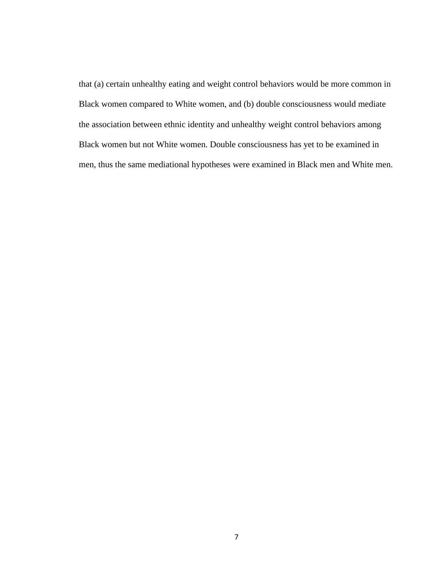that (a) certain unhealthy eating and weight control behaviors would be more common in Black women compared to White women, and (b) double consciousness would mediate the association between ethnic identity and unhealthy weight control behaviors among Black women but not White women. Double consciousness has yet to be examined in men, thus the same mediational hypotheses were examined in Black men and White men.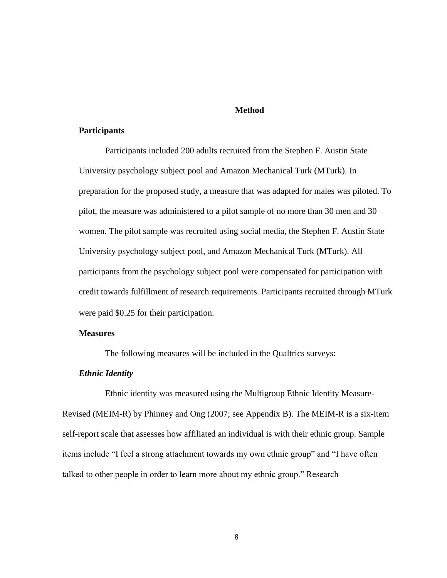#### **Method**

### **Participants**

Participants included 200 adults recruited from the Stephen F. Austin State University psychology subject pool and Amazon Mechanical Turk (MTurk). In preparation for the proposed study, a measure that was adapted for males was piloted. To pilot, the measure was administered to a pilot sample of no more than 30 men and 30 women. The pilot sample was recruited using social media, the Stephen F. Austin State University psychology subject pool, and Amazon Mechanical Turk (MTurk). All participants from the psychology subject pool were compensated for participation with credit towards fulfillment of research requirements. Participants recruited through MTurk were paid \$0.25 for their participation.

### **Measures**

The following measures will be included in the Qualtrics surveys:

#### *Ethnic Identity*

Ethnic identity was measured using the Multigroup Ethnic Identity Measure-Revised (MEIM-R) by Phinney and Ong (2007; see Appendix B). The MEIM-R is a six-item self-report scale that assesses how affiliated an individual is with their ethnic group. Sample items include "I feel a strong attachment towards my own ethnic group" and "I have often talked to other people in order to learn more about my ethnic group." Research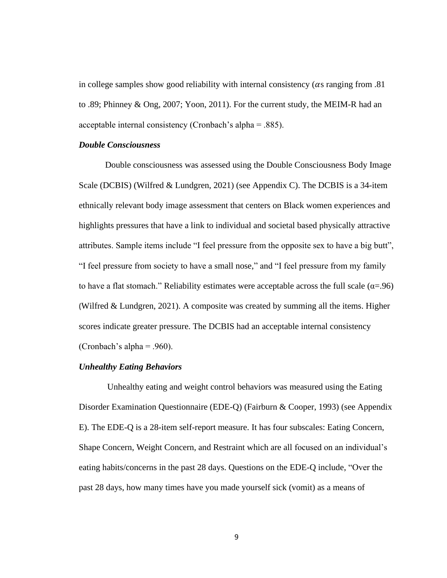in college samples show good reliability with internal consistency ( $\alpha$ s ranging from .81 to .89; Phinney & Ong, 2007; Yoon, 2011). For the current study, the MEIM-R had an acceptable internal consistency (Cronbach's alpha = .885).

### *Double Consciousness*

Double consciousness was assessed using the Double Consciousness Body Image Scale (DCBIS) (Wilfred & Lundgren, 2021) (see Appendix C). The DCBIS is a 34-item ethnically relevant body image assessment that centers on Black women experiences and highlights pressures that have a link to individual and societal based physically attractive attributes. Sample items include "I feel pressure from the opposite sex to have a big butt", "I feel pressure from society to have a small nose," and "I feel pressure from my family to have a flat stomach." Reliability estimates were acceptable across the full scale ( $\alpha = .96$ ) (Wilfred & Lundgren, 2021). A composite was created by summing all the items. Higher scores indicate greater pressure. The DCBIS had an acceptable internal consistency (Cronbach's alpha = .960).

### *Unhealthy Eating Behaviors*

Unhealthy eating and weight control behaviors was measured using the Eating Disorder Examination Questionnaire (EDE-Q) (Fairburn & Cooper, 1993) (see Appendix E). The EDE-Q is a 28-item self-report measure. It has four subscales: Eating Concern, Shape Concern, Weight Concern, and Restraint which are all focused on an individual's eating habits/concerns in the past 28 days. Questions on the EDE-Q include, "Over the past 28 days, how many times have you made yourself sick (vomit) as a means of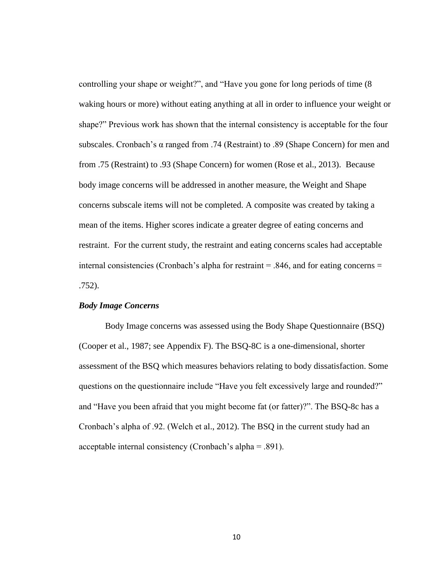controlling your shape or weight?", and "Have you gone for long periods of time (8 waking hours or more) without eating anything at all in order to influence your weight or shape?" Previous work has shown that the internal consistency is acceptable for the four subscales. Cronbach's α ranged from .74 (Restraint) to .89 (Shape Concern) for men and from .75 (Restraint) to .93 (Shape Concern) for women (Rose et al., 2013). Because body image concerns will be addressed in another measure, the Weight and Shape concerns subscale items will not be completed. A composite was created by taking a mean of the items. Higher scores indicate a greater degree of eating concerns and restraint. For the current study, the restraint and eating concerns scales had acceptable internal consistencies (Cronbach's alpha for restraint  $= .846$ , and for eating concerns  $=$ .752).

### *Body Image Concerns*

Body Image concerns was assessed using the Body Shape Questionnaire (BSQ) (Cooper et al., 1987; see Appendix F). The BSQ-8C is a one-dimensional, shorter assessment of the BSQ which measures behaviors relating to body dissatisfaction. Some questions on the questionnaire include "Have you felt excessively large and rounded?" and "Have you been afraid that you might become fat (or fatter)?". The BSQ-8c has a Cronbach's alpha of .92. (Welch et al., 2012). The BSQ in the current study had an acceptable internal consistency (Cronbach's alpha = .891).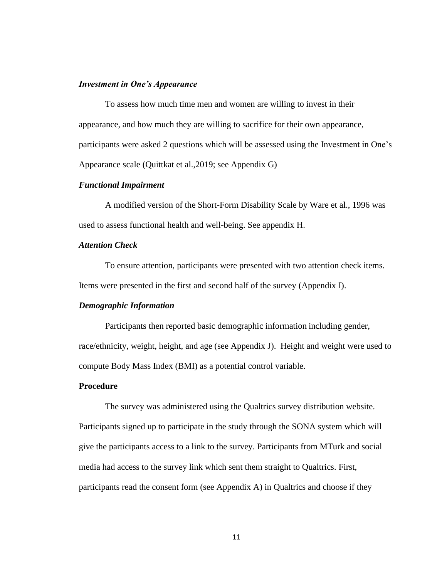#### *Investment in One's Appearance*

To assess how much time men and women are willing to invest in their appearance, and how much they are willing to sacrifice for their own appearance, participants were asked 2 questions which will be assessed using the Investment in One's Appearance scale (Quittkat et al.,2019; see Appendix G)

### *Functional Impairment*

A modified version of the Short-Form Disability Scale by Ware et al., 1996 was used to assess functional health and well-being. See appendix H.

### *Attention Check*

To ensure attention, participants were presented with two attention check items. Items were presented in the first and second half of the survey (Appendix I).

### *Demographic Information*

Participants then reported basic demographic information including gender, race/ethnicity, weight, height, and age (see Appendix J). Height and weight were used to compute Body Mass Index (BMI) as a potential control variable.

### **Procedure**

The survey was administered using the Qualtrics survey distribution website. Participants signed up to participate in the study through the SONA system which will give the participants access to a link to the survey. Participants from MTurk and social media had access to the survey link which sent them straight to Qualtrics. First, participants read the consent form (see Appendix A) in Qualtrics and choose if they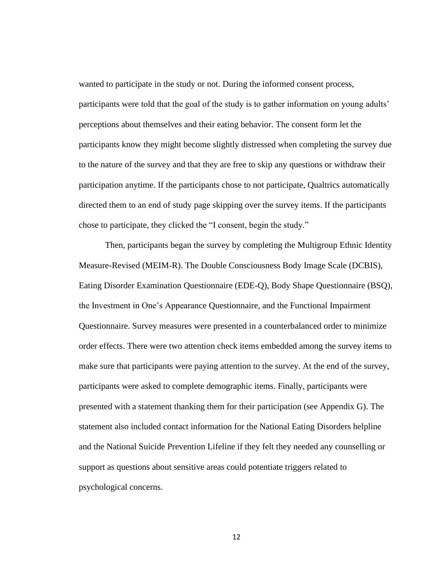wanted to participate in the study or not. During the informed consent process, participants were told that the goal of the study is to gather information on young adults' perceptions about themselves and their eating behavior. The consent form let the participants know they might become slightly distressed when completing the survey due to the nature of the survey and that they are free to skip any questions or withdraw their participation anytime. If the participants chose to not participate, Qualtrics automatically directed them to an end of study page skipping over the survey items. If the participants chose to participate, they clicked the "I consent, begin the study."

Then, participants began the survey by completing the Multigroup Ethnic Identity Measure-Revised (MEIM-R). The Double Consciousness Body Image Scale (DCBIS), Eating Disorder Examination Questionnaire (EDE-Q), Body Shape Questionnaire (BSQ), the Investment in One's Appearance Questionnaire, and the Functional Impairment Questionnaire. Survey measures were presented in a counterbalanced order to minimize order effects. There were two attention check items embedded among the survey items to make sure that participants were paying attention to the survey. At the end of the survey, participants were asked to complete demographic items. Finally, participants were presented with a statement thanking them for their participation (see Appendix G). The statement also included contact information for the National Eating Disorders helpline and the National Suicide Prevention Lifeline if they felt they needed any counselling or support as questions about sensitive areas could potentiate triggers related to psychological concerns.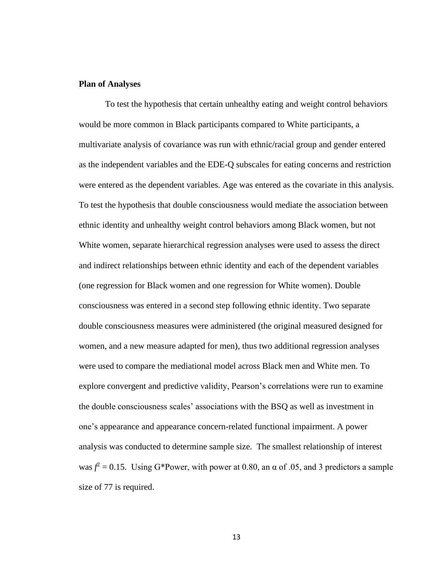### **Plan of Analyses**

To test the hypothesis that certain unhealthy eating and weight control behaviors would be more common in Black participants compared to White participants, a multivariate analysis of covariance was run with ethnic/racial group and gender entered as the independent variables and the EDE-Q subscales for eating concerns and restriction were entered as the dependent variables. Age was entered as the covariate in this analysis. To test the hypothesis that double consciousness would mediate the association between ethnic identity and unhealthy weight control behaviors among Black women, but not White women, separate hierarchical regression analyses were used to assess the direct and indirect relationships between ethnic identity and each of the dependent variables (one regression for Black women and one regression for White women). Double consciousness was entered in a second step following ethnic identity. Two separate double consciousness measures were administered (the original measured designed for women, and a new measure adapted for men), thus two additional regression analyses were used to compare the mediational model across Black men and White men. To explore convergent and predictive validity, Pearson's correlations were run to examine the double consciousness scales' associations with the BSQ as well as investment in one's appearance and appearance concern-related functional impairment. A power analysis was conducted to determine sample size. The smallest relationship of interest was  $f^2 = 0.15$ . Using G\*Power, with power at 0.80, an  $\alpha$  of .05, and 3 predictors a sample size of 77 is required.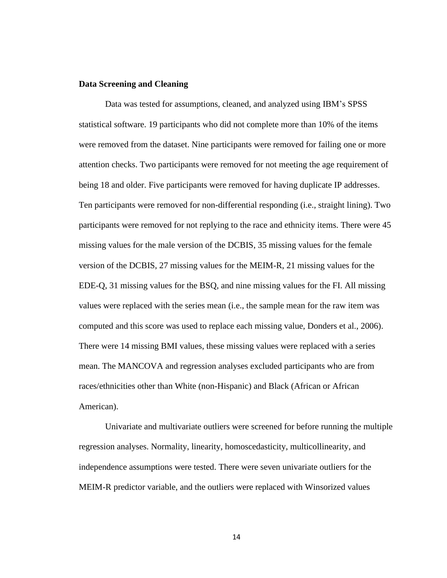### **Data Screening and Cleaning**

Data was tested for assumptions, cleaned, and analyzed using IBM's SPSS statistical software. 19 participants who did not complete more than 10% of the items were removed from the dataset. Nine participants were removed for failing one or more attention checks. Two participants were removed for not meeting the age requirement of being 18 and older. Five participants were removed for having duplicate IP addresses. Ten participants were removed for non-differential responding (i.e., straight lining). Two participants were removed for not replying to the race and ethnicity items. There were 45 missing values for the male version of the DCBIS, 35 missing values for the female version of the DCBIS, 27 missing values for the MEIM-R, 21 missing values for the EDE-Q, 31 missing values for the BSQ, and nine missing values for the FI. All missing values were replaced with the series mean (i.e., the sample mean for the raw item was computed and this score was used to replace each missing value, Donders et al., 2006). There were 14 missing BMI values, these missing values were replaced with a series mean. The MANCOVA and regression analyses excluded participants who are from races/ethnicities other than White (non-Hispanic) and Black (African or African American).

Univariate and multivariate outliers were screened for before running the multiple regression analyses. Normality, linearity, homoscedasticity, multicollinearity, and independence assumptions were tested. There were seven univariate outliers for the MEIM-R predictor variable, and the outliers were replaced with Winsorized values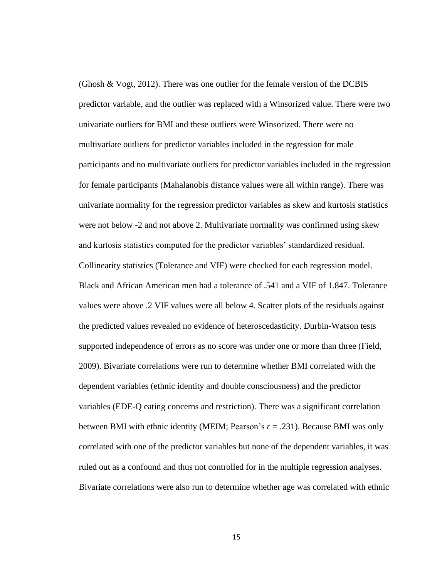(Ghosh & Vogt, 2012). There was one outlier for the female version of the DCBIS predictor variable, and the outlier was replaced with a Winsorized value. There were two univariate outliers for BMI and these outliers were Winsorized. There were no multivariate outliers for predictor variables included in the regression for male participants and no multivariate outliers for predictor variables included in the regression for female participants (Mahalanobis distance values were all within range). There was univariate normality for the regression predictor variables as skew and kurtosis statistics were not below -2 and not above 2. Multivariate normality was confirmed using skew and kurtosis statistics computed for the predictor variables' standardized residual. Collinearity statistics (Tolerance and VIF) were checked for each regression model. Black and African American men had a tolerance of .541 and a VIF of 1.847. Tolerance values were above .2 VIF values were all below 4. Scatter plots of the residuals against the predicted values revealed no evidence of heteroscedasticity. Durbin-Watson tests supported independence of errors as no score was under one or more than three (Field, 2009). Bivariate correlations were run to determine whether BMI correlated with the dependent variables (ethnic identity and double consciousness) and the predictor variables (EDE-Q eating concerns and restriction). There was a significant correlation between BMI with ethnic identity (MEIM; Pearson's *r* = .231). Because BMI was only correlated with one of the predictor variables but none of the dependent variables, it was ruled out as a confound and thus not controlled for in the multiple regression analyses. Bivariate correlations were also run to determine whether age was correlated with ethnic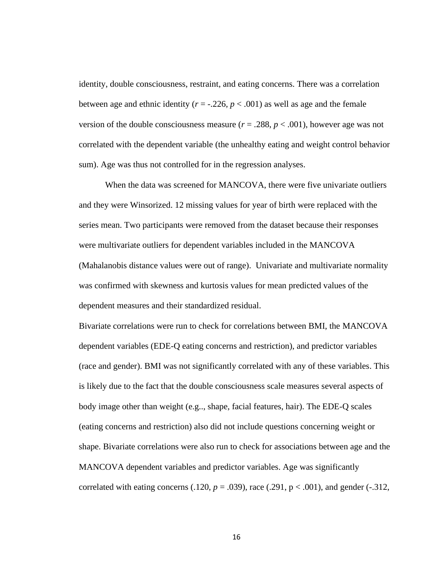identity, double consciousness, restraint, and eating concerns. There was a correlation between age and ethnic identity ( $r = -0.226$ ,  $p < 0.001$ ) as well as age and the female version of the double consciousness measure ( $r = .288$ ,  $p < .001$ ), however age was not correlated with the dependent variable (the unhealthy eating and weight control behavior sum). Age was thus not controlled for in the regression analyses.

When the data was screened for MANCOVA, there were five univariate outliers and they were Winsorized. 12 missing values for year of birth were replaced with the series mean. Two participants were removed from the dataset because their responses were multivariate outliers for dependent variables included in the MANCOVA (Mahalanobis distance values were out of range). Univariate and multivariate normality was confirmed with skewness and kurtosis values for mean predicted values of the dependent measures and their standardized residual.

Bivariate correlations were run to check for correlations between BMI, the MANCOVA dependent variables (EDE-Q eating concerns and restriction), and predictor variables (race and gender). BMI was not significantly correlated with any of these variables. This is likely due to the fact that the double consciousness scale measures several aspects of body image other than weight (e.g.., shape, facial features, hair). The EDE-Q scales (eating concerns and restriction) also did not include questions concerning weight or shape. Bivariate correlations were also run to check for associations between age and the MANCOVA dependent variables and predictor variables. Age was significantly correlated with eating concerns  $(.120, p = .039)$ , race  $(.291, p < .001)$ , and gender  $(-.312, p = .039)$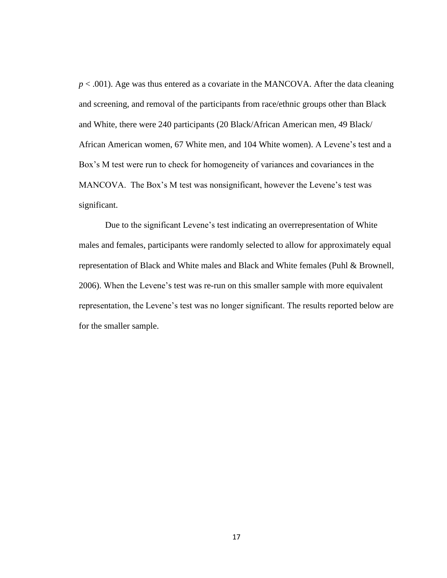$p < .001$ ). Age was thus entered as a covariate in the MANCOVA. After the data cleaning and screening, and removal of the participants from race/ethnic groups other than Black and White, there were 240 participants (20 Black/African American men, 49 Black/ African American women, 67 White men, and 104 White women). A Levene's test and a Box's M test were run to check for homogeneity of variances and covariances in the MANCOVA. The Box's M test was nonsignificant, however the Levene's test was significant.

Due to the significant Levene's test indicating an overrepresentation of White males and females, participants were randomly selected to allow for approximately equal representation of Black and White males and Black and White females (Puhl & Brownell, 2006). When the Levene's test was re-run on this smaller sample with more equivalent representation, the Levene's test was no longer significant. The results reported below are for the smaller sample.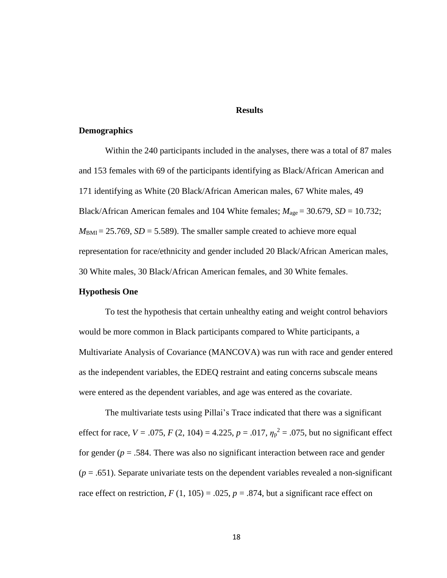#### **Results**

### **Demographics**

Within the 240 participants included in the analyses, there was a total of 87 males and 153 females with 69 of the participants identifying as Black/African American and 171 identifying as White (20 Black/African American males, 67 White males, 49 Black/African American females and 104 White females;  $M_{\text{age}} = 30.679$ ,  $SD = 10.732$ ;  $M_{\text{BMI}} = 25.769$ ,  $SD = 5.589$ ). The smaller sample created to achieve more equal representation for race/ethnicity and gender included 20 Black/African American males, 30 White males, 30 Black/African American females, and 30 White females.

#### **Hypothesis One**

To test the hypothesis that certain unhealthy eating and weight control behaviors would be more common in Black participants compared to White participants, a Multivariate Analysis of Covariance (MANCOVA) was run with race and gender entered as the independent variables, the EDEQ restraint and eating concerns subscale means were entered as the dependent variables, and age was entered as the covariate.

The multivariate tests using Pillai's Trace indicated that there was a significant effect for race,  $V = .075$ ,  $F(2, 104) = 4.225$ ,  $p = .017$ ,  $\eta_p^2 = .075$ , but no significant effect for gender ( $p = .584$ . There was also no significant interaction between race and gender  $(p = .651)$ . Separate univariate tests on the dependent variables revealed a non-significant race effect on restriction,  $F(1, 105) = .025$ ,  $p = .874$ , but a significant race effect on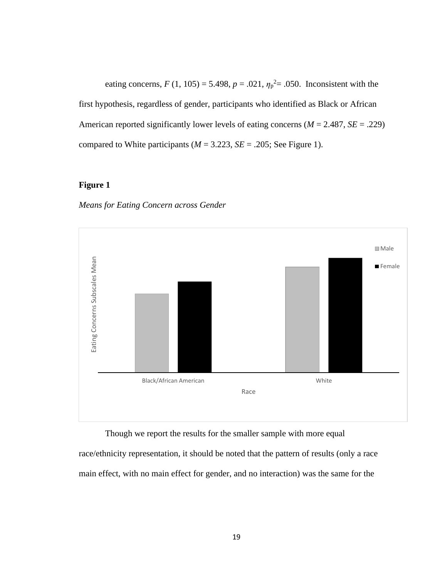eating concerns,  $F(1, 105) = 5.498$ ,  $p = .021$ ,  $\eta_p^2 = .050$ . Inconsistent with the first hypothesis, regardless of gender, participants who identified as Black or African American reported significantly lower levels of eating concerns (*M* = 2.487, *SE* = .229) compared to White participants ( $M = 3.223$ ,  $SE = .205$ ; See Figure 1).

### **Figure 1**





race/ethnicity representation, it should be noted that the pattern of results (only a race main effect, with no main effect for gender, and no interaction) was the same for the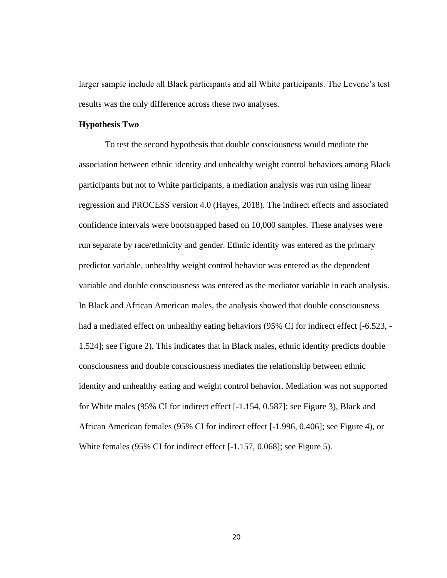larger sample include all Black participants and all White participants. The Levene's test results was the only difference across these two analyses.

#### **Hypothesis Two**

To test the second hypothesis that double consciousness would mediate the association between ethnic identity and unhealthy weight control behaviors among Black participants but not to White participants, a mediation analysis was run using linear regression and PROCESS version 4.0 (Hayes, 2018). The indirect effects and associated confidence intervals were bootstrapped based on 10,000 samples. These analyses were run separate by race/ethnicity and gender. Ethnic identity was entered as the primary predictor variable, unhealthy weight control behavior was entered as the dependent variable and double consciousness was entered as the mediator variable in each analysis. In Black and African American males, the analysis showed that double consciousness had a mediated effect on unhealthy eating behaviors (95% CI for indirect effect [-6.523, -1.524]; see Figure 2). This indicates that in Black males, ethnic identity predicts double consciousness and double consciousness mediates the relationship between ethnic identity and unhealthy eating and weight control behavior. Mediation was not supported for White males (95% CI for indirect effect [-1.154, 0.587]; see Figure 3), Black and African American females (95% CI for indirect effect [-1.996, 0.406]; see Figure 4), or White females (95% CI for indirect effect [-1.157, 0.068]; see Figure 5).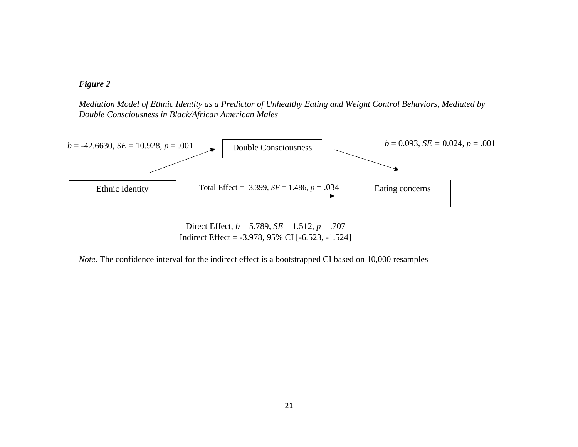

*Mediation Model of Ethnic Identity as a Predictor of Unhealthy Eating and Weight Control Behaviors, Mediated by Double Consciousness in Black/African American Males*



Direct Effect, *b* = 5.789, *SE* = 1.512, *p* = .707 Indirect Effect = -3.978, 95% CI [-6.523, -1.524]

*Note.* The confidence interval for the indirect effect is a bootstrapped CI based on 10,000 resamples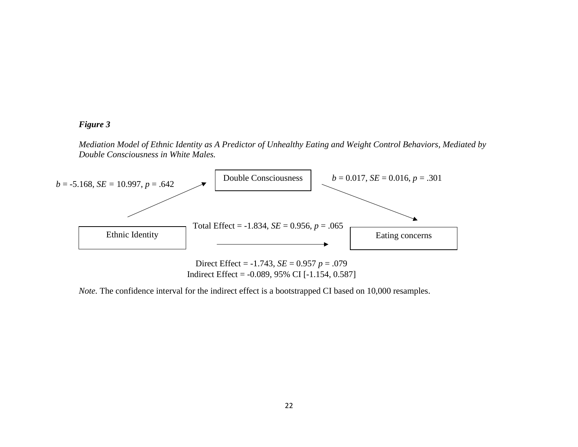### *Figure 3*

*Mediation Model of Ethnic Identity as A Predictor of Unhealthy Eating and Weight Control Behaviors, Mediated by Double Consciousness in White Males.*



Direct Effect = -1.743, *SE* = 0.957 *p* = .079 Indirect Effect =  $-0.089$ , 95% CI  $[-1.154, 0.587]$ 

*Note.* The confidence interval for the indirect effect is a bootstrapped CI based on 10,000 resamples.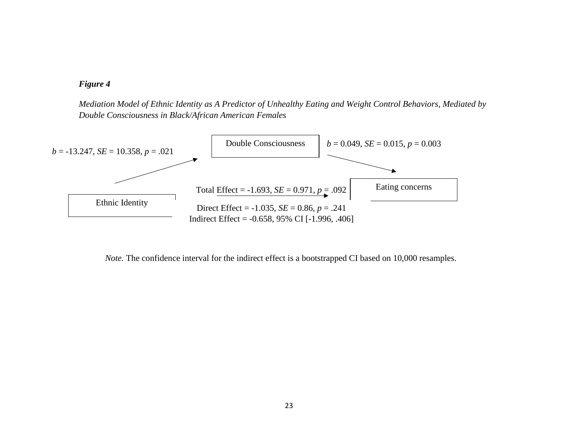

*Mediation Model of Ethnic Identity as A Predictor of Unhealthy Eating and Weight Control Behaviors, Mediated by Double Consciousness in Black/African American Females*



*Note.* The confidence interval for the indirect effect is a bootstrapped CI based on 10,000 resamples.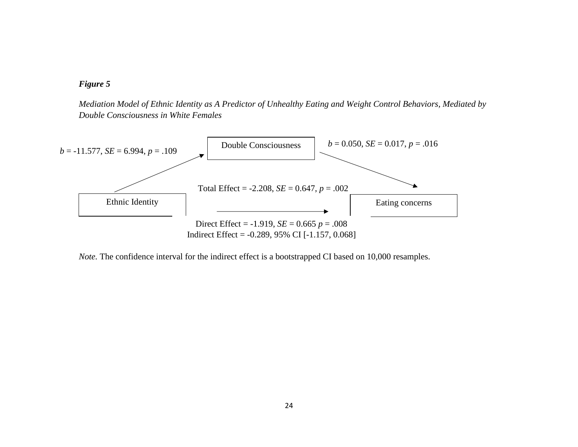

*Mediation Model of Ethnic Identity as A Predictor of Unhealthy Eating and Weight Control Behaviors, Mediated by Double Consciousness in White Females*



*Note.* The confidence interval for the indirect effect is a bootstrapped CI based on 10,000 resamples.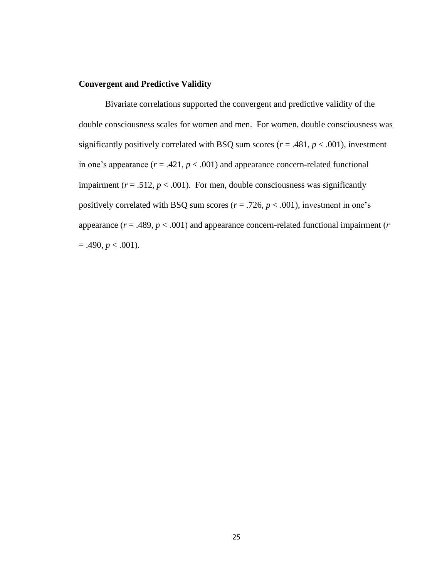### **Convergent and Predictive Validity**

Bivariate correlations supported the convergent and predictive validity of the double consciousness scales for women and men. For women, double consciousness was significantly positively correlated with BSQ sum scores ( $r = .481$ ,  $p < .001$ ), investment in one's appearance  $(r = .421, p < .001)$  and appearance concern-related functional impairment ( $r = .512$ ,  $p < .001$ ). For men, double consciousness was significantly positively correlated with BSQ sum scores ( $r = .726$ ,  $p < .001$ ), investment in one's appearance (*r* = .489, *p* < .001) and appearance concern-related functional impairment (*r*  $= .490, p < .001$ ).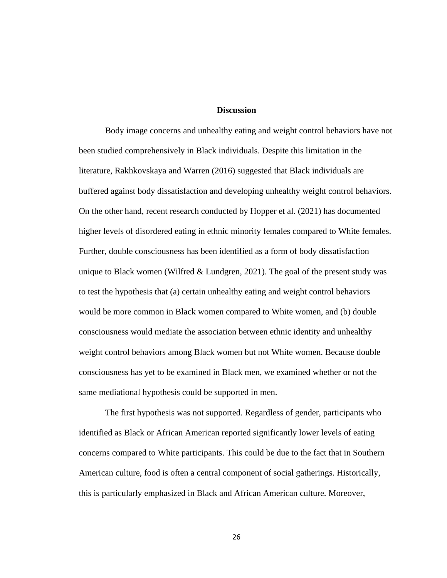#### **Discussion**

Body image concerns and unhealthy eating and weight control behaviors have not been studied comprehensively in Black individuals. Despite this limitation in the literature, Rakhkovskaya and Warren (2016) suggested that Black individuals are buffered against body dissatisfaction and developing unhealthy weight control behaviors. On the other hand, recent research conducted by Hopper et al. (2021) has documented higher levels of disordered eating in ethnic minority females compared to White females. Further, double consciousness has been identified as a form of body dissatisfaction unique to Black women (Wilfred  $&$  Lundgren, 2021). The goal of the present study was to test the hypothesis that (a) certain unhealthy eating and weight control behaviors would be more common in Black women compared to White women, and (b) double consciousness would mediate the association between ethnic identity and unhealthy weight control behaviors among Black women but not White women. Because double consciousness has yet to be examined in Black men, we examined whether or not the same mediational hypothesis could be supported in men.

The first hypothesis was not supported. Regardless of gender, participants who identified as Black or African American reported significantly lower levels of eating concerns compared to White participants. This could be due to the fact that in Southern American culture, food is often a central component of social gatherings. Historically, this is particularly emphasized in Black and African American culture. Moreover,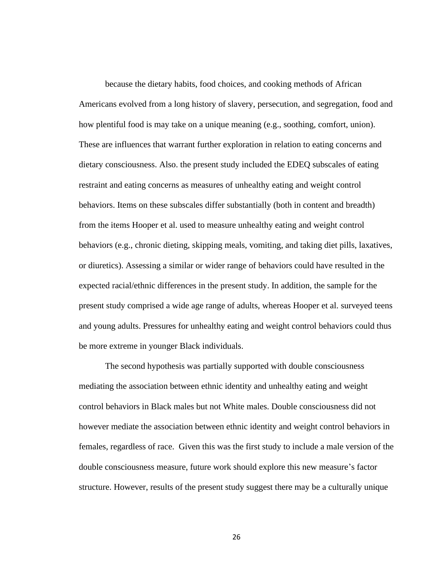because the dietary habits, food choices, and cooking methods of African Americans evolved from a long history of slavery, persecution, and segregation, food and how plentiful food is may take on a unique meaning (e.g., soothing, comfort, union). These are influences that warrant further exploration in relation to eating concerns and dietary consciousness. Also. the present study included the EDEQ subscales of eating restraint and eating concerns as measures of unhealthy eating and weight control behaviors. Items on these subscales differ substantially (both in content and breadth) from the items Hooper et al. used to measure unhealthy eating and weight control behaviors (e.g., chronic dieting, skipping meals, vomiting, and taking diet pills, laxatives, or diuretics). Assessing a similar or wider range of behaviors could have resulted in the expected racial/ethnic differences in the present study. In addition, the sample for the present study comprised a wide age range of adults, whereas Hooper et al. surveyed teens and young adults. Pressures for unhealthy eating and weight control behaviors could thus be more extreme in younger Black individuals.

The second hypothesis was partially supported with double consciousness mediating the association between ethnic identity and unhealthy eating and weight control behaviors in Black males but not White males. Double consciousness did not however mediate the association between ethnic identity and weight control behaviors in females, regardless of race. Given this was the first study to include a male version of the double consciousness measure, future work should explore this new measure's factor structure. However, results of the present study suggest there may be a culturally unique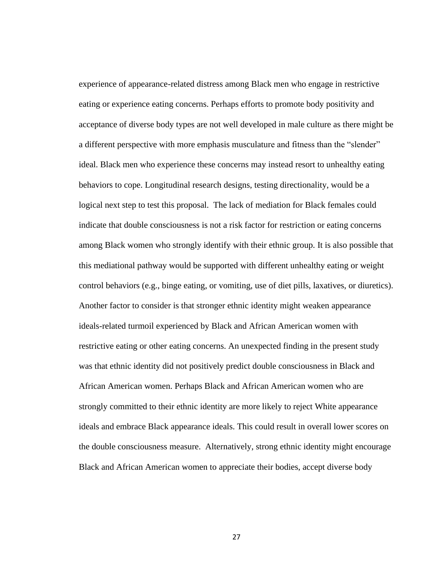experience of appearance-related distress among Black men who engage in restrictive eating or experience eating concerns. Perhaps efforts to promote body positivity and acceptance of diverse body types are not well developed in male culture as there might be a different perspective with more emphasis musculature and fitness than the "slender" ideal. Black men who experience these concerns may instead resort to unhealthy eating behaviors to cope. Longitudinal research designs, testing directionality, would be a logical next step to test this proposal. The lack of mediation for Black females could indicate that double consciousness is not a risk factor for restriction or eating concerns among Black women who strongly identify with their ethnic group. It is also possible that this mediational pathway would be supported with different unhealthy eating or weight control behaviors (e.g., binge eating, or vomiting, use of diet pills, laxatives, or diuretics). Another factor to consider is that stronger ethnic identity might weaken appearance ideals-related turmoil experienced by Black and African American women with restrictive eating or other eating concerns. An unexpected finding in the present study was that ethnic identity did not positively predict double consciousness in Black and African American women. Perhaps Black and African American women who are strongly committed to their ethnic identity are more likely to reject White appearance ideals and embrace Black appearance ideals. This could result in overall lower scores on the double consciousness measure. Alternatively, strong ethnic identity might encourage Black and African American women to appreciate their bodies, accept diverse body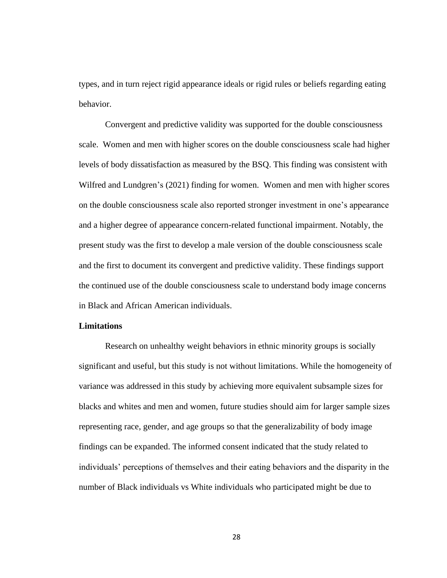types, and in turn reject rigid appearance ideals or rigid rules or beliefs regarding eating behavior.

Convergent and predictive validity was supported for the double consciousness scale. Women and men with higher scores on the double consciousness scale had higher levels of body dissatisfaction as measured by the BSQ. This finding was consistent with Wilfred and Lundgren's (2021) finding for women. Women and men with higher scores on the double consciousness scale also reported stronger investment in one's appearance and a higher degree of appearance concern-related functional impairment. Notably, the present study was the first to develop a male version of the double consciousness scale and the first to document its convergent and predictive validity. These findings support the continued use of the double consciousness scale to understand body image concerns in Black and African American individuals.

### **Limitations**

Research on unhealthy weight behaviors in ethnic minority groups is socially significant and useful, but this study is not without limitations. While the homogeneity of variance was addressed in this study by achieving more equivalent subsample sizes for blacks and whites and men and women, future studies should aim for larger sample sizes representing race, gender, and age groups so that the generalizability of body image findings can be expanded. The informed consent indicated that the study related to individuals' perceptions of themselves and their eating behaviors and the disparity in the number of Black individuals vs White individuals who participated might be due to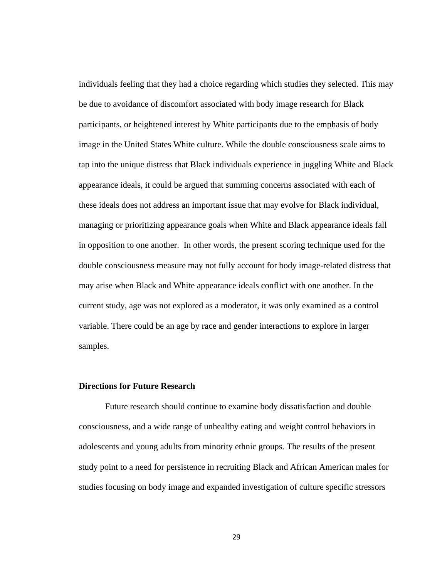individuals feeling that they had a choice regarding which studies they selected. This may be due to avoidance of discomfort associated with body image research for Black participants, or heightened interest by White participants due to the emphasis of body image in the United States White culture. While the double consciousness scale aims to tap into the unique distress that Black individuals experience in juggling White and Black appearance ideals, it could be argued that summing concerns associated with each of these ideals does not address an important issue that may evolve for Black individual, managing or prioritizing appearance goals when White and Black appearance ideals fall in opposition to one another. In other words, the present scoring technique used for the double consciousness measure may not fully account for body image-related distress that may arise when Black and White appearance ideals conflict with one another. In the current study, age was not explored as a moderator, it was only examined as a control variable. There could be an age by race and gender interactions to explore in larger samples.

### **Directions for Future Research**

Future research should continue to examine body dissatisfaction and double consciousness, and a wide range of unhealthy eating and weight control behaviors in adolescents and young adults from minority ethnic groups. The results of the present study point to a need for persistence in recruiting Black and African American males for studies focusing on body image and expanded investigation of culture specific stressors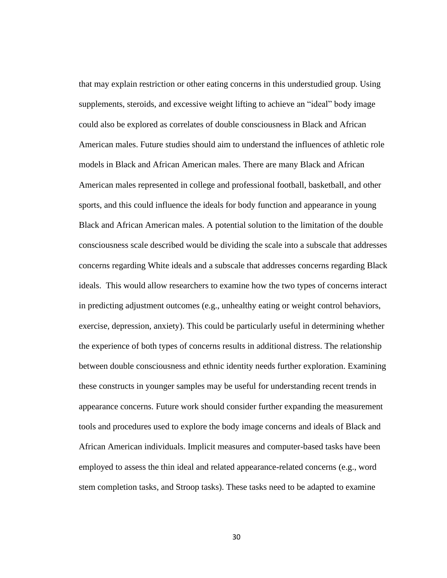that may explain restriction or other eating concerns in this understudied group. Using supplements, steroids, and excessive weight lifting to achieve an "ideal" body image could also be explored as correlates of double consciousness in Black and African American males. Future studies should aim to understand the influences of athletic role models in Black and African American males. There are many Black and African American males represented in college and professional football, basketball, and other sports, and this could influence the ideals for body function and appearance in young Black and African American males. A potential solution to the limitation of the double consciousness scale described would be dividing the scale into a subscale that addresses concerns regarding White ideals and a subscale that addresses concerns regarding Black ideals. This would allow researchers to examine how the two types of concerns interact in predicting adjustment outcomes (e.g., unhealthy eating or weight control behaviors, exercise, depression, anxiety). This could be particularly useful in determining whether the experience of both types of concerns results in additional distress. The relationship between double consciousness and ethnic identity needs further exploration. Examining these constructs in younger samples may be useful for understanding recent trends in appearance concerns. Future work should consider further expanding the measurement tools and procedures used to explore the body image concerns and ideals of Black and African American individuals. Implicit measures and computer-based tasks have been employed to assess the thin ideal and related appearance-related concerns (e.g., word stem completion tasks, and Stroop tasks). These tasks need to be adapted to examine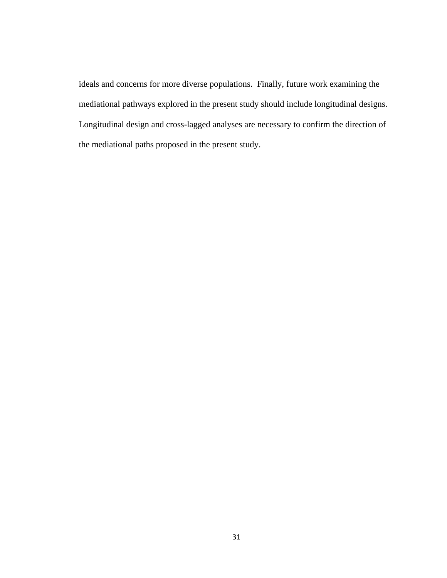ideals and concerns for more diverse populations. Finally, future work examining the mediational pathways explored in the present study should include longitudinal designs. Longitudinal design and cross-lagged analyses are necessary to confirm the direction of the mediational paths proposed in the present study.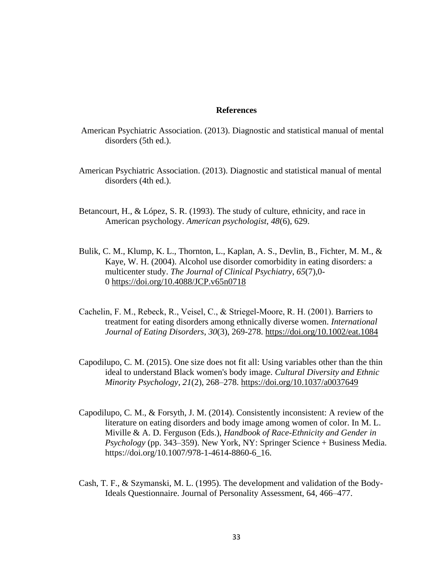#### **References**

- American Psychiatric Association. (2013). Diagnostic and statistical manual of mental disorders (5th ed.).
- American Psychiatric Association. (2013). Diagnostic and statistical manual of mental disorders (4th ed.).
- Betancourt, H., & López, S. R. (1993). The study of culture, ethnicity, and race in American psychology. *American psychologist*, *48*(6), 629.
- Bulik, C. M., Klump, K. L., Thornton, L., Kaplan, A. S., Devlin, B., Fichter, M. M., & Kaye, W. H. (2004). Alcohol use disorder comorbidity in eating disorders: a multicenter study. *The Journal of Clinical Psychiatry*, *65*(7),0- 0 [https://doi.org/10.4088/JCP.v65n0718](https://psycnet.apa.org/doi/10.4088/JCP.v65n0718)
- Cachelin, F. M., Rebeck, R., Veisel, C., & Striegel‐Moore, R. H. (2001). Barriers to treatment for eating disorders among ethnically diverse women. *International Journal of Eating Disorders*, *30*(3), 269-278.<https://doi.org/10.1002/eat.1084>
- Capodilupo, C. M. (2015). One size does not fit all: Using variables other than the thin ideal to understand Black women's body image. *Cultural Diversity and Ethnic Minority Psychology, 21*(2), 268–278.<https://doi.org/10.1037/a0037649>
- Capodilupo, C. M., & Forsyth, J. M. (2014). Consistently inconsistent: A review of the literature on eating disorders and body image among women of color. In M. L. Miville & A. D. Ferguson (Eds.), *Handbook of Race-Ethnicity and Gender in Psychology* (pp. 343–359). New York, NY: Springer Science + Business Media. https://doi.org/10.1007/978-1-4614-8860-6\_16.
- Cash, T. F., & Szymanski, M. L. (1995). The development and validation of the Body-Ideals Questionnaire. Journal of Personality Assessment, 64, 466–477.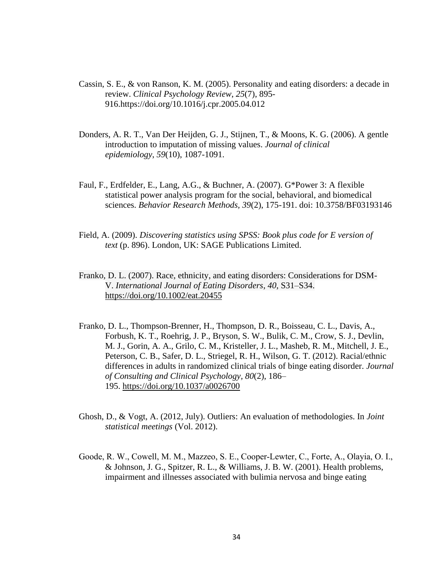- Cassin, S. E., & von Ranson, K. M. (2005). Personality and eating disorders: a decade in review. *Clinical Psychology Review*, *25*(7), 895- 916.https://doi.org/10.1016/j.cpr.2005.04.012
- Donders, A. R. T., Van Der Heijden, G. J., Stijnen, T., & Moons, K. G. (2006). A gentle introduction to imputation of missing values. *Journal of clinical epidemiology*, *59*(10), 1087-1091.
- Faul, F., Erdfelder, E., Lang, A.G., & Buchner, A. (2007). G\*Power 3: A flexible statistical power analysis program for the social, behavioral, and biomedical sciences. *Behavior Research Methods, 39*(2), 175-191. doi: 10.3758/BF03193146
- Field, A. (2009). *Discovering statistics using SPSS: Book plus code for E version of text* (p. 896). London, UK: SAGE Publications Limited.
- Franko, D. L. (2007). Race, ethnicity, and eating disorders: Considerations for DSM-V. *International Journal of Eating Disorders*, *40*, S31–S34. <https://doi.org/10.1002/eat.20455>
- Franko, D. L., Thompson-Brenner, H., Thompson, D. R., Boisseau, C. L., Davis, A., Forbush, K. T., Roehrig, J. P., Bryson, S. W., Bulik, C. M., Crow, S. J., Devlin, M. J., Gorin, A. A., Grilo, C. M., Kristeller, J. L., Masheb, R. M., Mitchell, J. E., Peterson, C. B., Safer, D. L., Striegel, R. H., Wilson, G. T. (2012). Racial/ethnic differences in adults in randomized clinical trials of binge eating disorder. *Journal of Consulting and Clinical Psychology, 80*(2), 186– 195. [https://doi.org/10.1037/a0026700](https://psycnet.apa.org/doi/10.1037/a0026700)
- Ghosh, D., & Vogt, A. (2012, July). Outliers: An evaluation of methodologies. In *Joint statistical meetings* (Vol. 2012).
- Goode, R. W., Cowell, M. M., Mazzeo, S. E., Cooper‐Lewter, C., Forte, A., Olayia, O. I., & Johnson, J. G., Spitzer, R. L., & Williams, J. B. W. (2001). Health problems, impairment and illnesses associated with bulimia nervosa and binge eating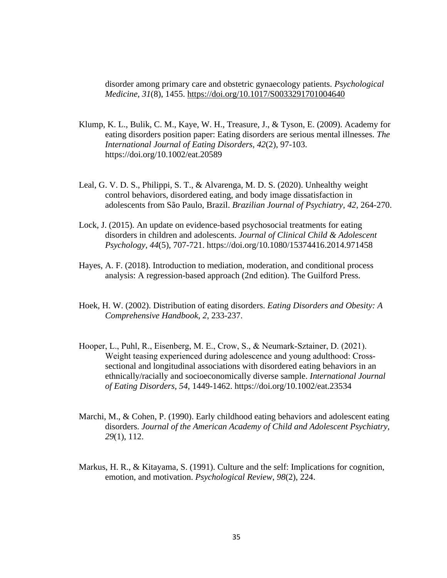disorder among primary care and obstetric gynaecology patients. *Psychological Medicine*, *31*(8), 1455. https://doi.org/10.1017/S0033291701004640

- Klump, K. L., Bulik, C. M., Kaye, W. H., Treasure, J., & Tyson, E. (2009). Academy for eating disorders position paper: Eating disorders are serious mental illnesses. *The International Journal of Eating Disorders, 42*(2), 97-103. https://doi.org/10.1002/eat.20589
- Leal, G. V. D. S., Philippi, S. T., & Alvarenga, M. D. S. (2020). Unhealthy weight control behaviors, disordered eating, and body image dissatisfaction in adolescents from São Paulo, Brazil. *Brazilian Journal of Psychiatry*, *42*, 264-270.
- Lock, J. (2015). An update on evidence-based psychosocial treatments for eating disorders in children and adolescents. *Journal of Clinical Child & Adolescent Psychology*, *44*(5), 707-721. https://doi.org/10.1080/15374416.2014.971458
- Hayes, A. F. (2018). Introduction to mediation, moderation, and conditional process analysis: A regression-based approach (2nd edition). The Guilford Press.
- Hoek, H. W. (2002). Distribution of eating disorders. *Eating Disorders and Obesity: A Comprehensive Handbook*, *2*, 233-237.
- Hooper, L., Puhl, R., Eisenberg, M. E., Crow, S., & Neumark‐Sztainer, D. (2021). Weight teasing experienced during adolescence and young adulthood: Crosssectional and longitudinal associations with disordered eating behaviors in an ethnically/racially and socioeconomically diverse sample. *International Journal of Eating Disorders, 54,* 1449-1462. https://doi.org/10.1002/eat.23534
- Marchi, M., & Cohen, P. (1990). Early childhood eating behaviors and adolescent eating disorders. *Journal of the American Academy of Child and Adolescent Psychiatry, 29*(1), 112.
- Markus, H. R., & Kitayama, S. (1991). Culture and the self: Implications for cognition, emotion, and motivation. *Psychological Review*, *98*(2), 224.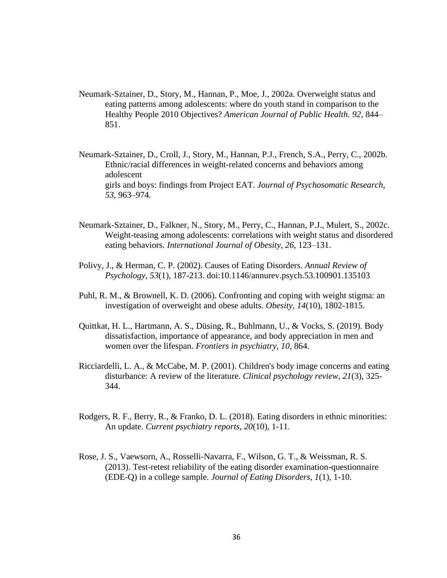- Neumark-Sztainer, D., Story, M., Hannan, P., Moe, J., 2002a. Overweight status and eating patterns among adolescents: where do youth stand in comparison to the Healthy People 2010 Objectives? *American Journal of Public Health. 92*, 844– 851.
- Neumark-Sztainer, D., Croll, J., Story, M., Hannan, P.J., French, S.A., Perry, C., 2002b. Ethnic/racial differences in weight-related concerns and behaviors among adolescent girls and boys: findings from Project EAT. *Journal of Psychosomatic Research, 53,* 963–974.
- Neumark-Sztainer, D., Falkner, N., Story, M., Perry, C., Hannan, P.J., Mulert, S., 2002c. Weight-teasing among adolescents: correlations with weight status and disordered eating behaviors. *International Journal of Obesity, 26,* 123–131.
- Polivy, J., & Herman, C. P. (2002). Causes of Eating Disorders. *Annual Review of Psychology, 53*(1), 187-213. doi:10.1146/annurev.psych.53.100901.135103
- Puhl, R. M., & Brownell, K. D. (2006). Confronting and coping with weight stigma: an investigation of overweight and obese adults. *Obesity*, *14*(10), 1802-1815.
- Quittkat, H. L., Hartmann, A. S., Düsing, R., Buhlmann, U., & Vocks, S. (2019). Body dissatisfaction, importance of appearance, and body appreciation in men and women over the lifespan. *Frontiers in psychiatry*, *10*, 864.
- Ricciardelli, L. A., & McCabe, M. P. (2001). Children's body image concerns and eating disturbance: A review of the literature. *Clinical psychology review*, *21*(3), 325- 344.
- Rodgers, R. F., Berry, R., & Franko, D. L. (2018). Eating disorders in ethnic minorities: An update. *Current psychiatry reports*, *20*(10), 1-11.
- Rose, J. S., Vaewsorn, A., Rosselli-Navarra, F., Wilson, G. T., & Weissman, R. S. (2013). Test-retest reliability of the eating disorder examination-questionnaire (EDE-Q) in a college sample. *Journal of Eating Disorders*, *1*(1), 1-10.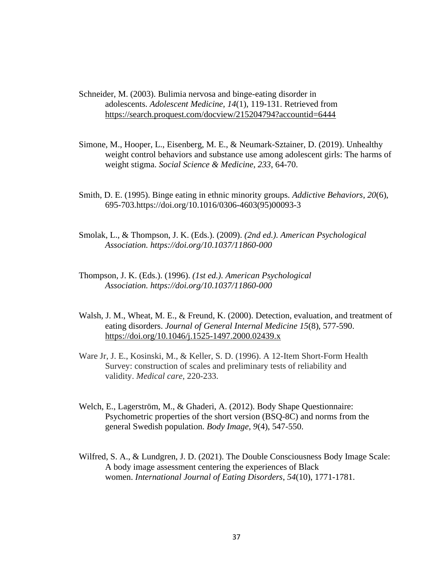Schneider, M. (2003). Bulimia nervosa and binge-eating disorder in adolescents. *Adolescent Medicine, 14*(1), 119-131. Retrieved from <https://search.proquest.com/docview/215204794?accountid=6444>

- Simone, M., Hooper, L., Eisenberg, M. E., & Neumark-Sztainer, D. (2019). Unhealthy weight control behaviors and substance use among adolescent girls: The harms of weight stigma. *Social Science & Medicine*, *233*, 64-70.
- Smith, D. E. (1995). Binge eating in ethnic minority groups. *Addictive Behaviors*, *20*(6), 695-703.https://doi.org/10.1016/0306-4603(95)00093-3
- Smolak, L., & Thompson, J. K. (Eds.). (2009). *(2nd ed.). American Psychological Association. https://doi.org/10.1037/11860-000*
- Thompson, J. K. (Eds.). (1996). *(1st ed.). American Psychological Association. https://doi.org/10.1037/11860-000*
- Walsh, J. M., Wheat, M. E., & Freund, K. (2000). Detection, evaluation, and treatment of eating disorders. *Journal of General Internal Medicine 15*(8), 577-590. https://doi.org/10.1046/j.1525-1497.2000.02439.x
- Ware Jr, J. E., Kosinski, M., & Keller, S. D. (1996). A 12-Item Short-Form Health Survey: construction of scales and preliminary tests of reliability and validity. *Medical care*, 220-233.
- Welch, E., Lagerström, M., & Ghaderi, A. (2012). Body Shape Questionnaire: Psychometric properties of the short version (BSQ-8C) and norms from the general Swedish population. *Body Image*, *9*(4), 547-550.
- Wilfred, S. A., & Lundgren, J. D. (2021). The Double Consciousness Body Image Scale: A body image assessment centering the experiences of Black women. *International Journal of Eating Disorders*, *54*(10), 1771-1781.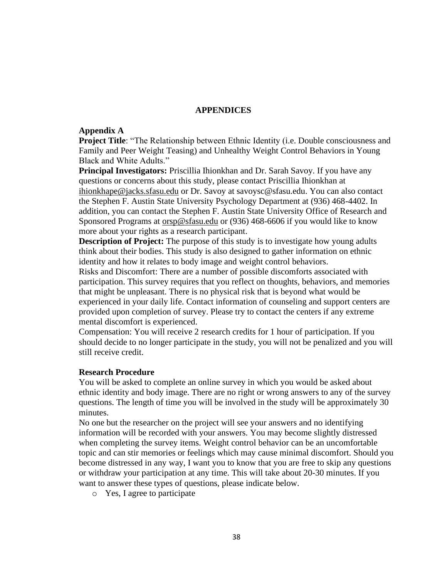### **APPENDICES**

### **Appendix A**

**Project Title**: "The Relationship between Ethnic Identity (i.e. Double consciousness and Family and Peer Weight Teasing) and Unhealthy Weight Control Behaviors in Young Black and White Adults."

**Principal Investigators:** Priscillia Ihionkhan and Dr. Sarah Savoy. If you have any questions or concerns about this study, please contact Priscillia Ihionkhan at [ihionkhape@jacks.sfasu.edu](mailto:ihionkhape@jacks.sfasu.edu) or Dr. Savoy at savoysc@sfasu.edu. You can also contact the Stephen F. Austin State University Psychology Department at (936) 468-4402. In addition, you can contact the Stephen F. Austin State University Office of Research and Sponsored Programs at [orsp@sfasu.edu](mailto:orsp@sfasu.edu) or (936) 468-6606 if you would like to know more about your rights as a research participant.

**Description of Project:** The purpose of this study is to investigate how young adults think about their bodies. This study is also designed to gather information on ethnic identity and how it relates to body image and weight control behaviors.

Risks and Discomfort: There are a number of possible discomforts associated with participation. This survey requires that you reflect on thoughts, behaviors, and memories that might be unpleasant. There is no physical risk that is beyond what would be experienced in your daily life. Contact information of counseling and support centers are provided upon completion of survey. Please try to contact the centers if any extreme mental discomfort is experienced.

Compensation: You will receive 2 research credits for 1 hour of participation. If you should decide to no longer participate in the study, you will not be penalized and you will still receive credit.

### **Research Procedure**

You will be asked to complete an online survey in which you would be asked about ethnic identity and body image. There are no right or wrong answers to any of the survey questions. The length of time you will be involved in the study will be approximately 30 minutes.

No one but the researcher on the project will see your answers and no identifying information will be recorded with your answers. You may become slightly distressed when completing the survey items. Weight control behavior can be an uncomfortable topic and can stir memories or feelings which may cause minimal discomfort. Should you become distressed in any way, I want you to know that you are free to skip any questions or withdraw your participation at any time. This will take about 20-30 minutes. If you want to answer these types of questions, please indicate below.

o Yes, I agree to participate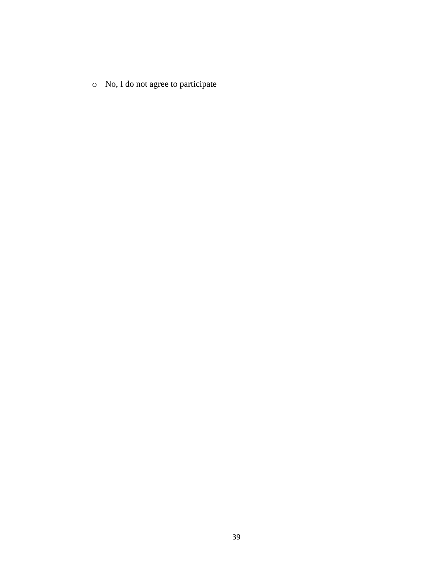o No, I do not agree to participate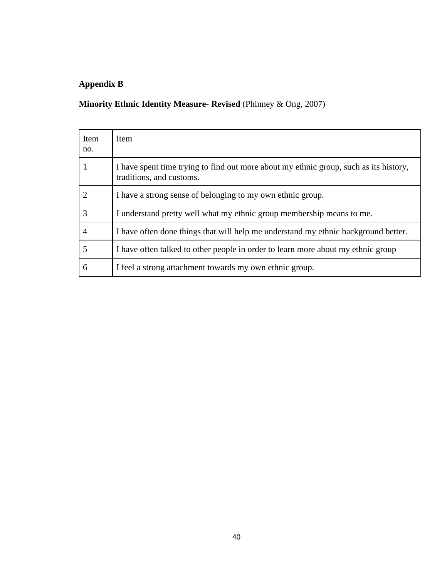# **Appendix B**

# **Minority Ethnic Identity Measure- Revised** (Phinney & Ong, 2007)

| Item<br>no. | Item                                                                                                              |
|-------------|-------------------------------------------------------------------------------------------------------------------|
|             | I have spent time trying to find out more about my ethnic group, such as its history,<br>traditions, and customs. |
|             | I have a strong sense of belonging to my own ethnic group.                                                        |
| 3           | I understand pretty well what my ethnic group membership means to me.                                             |
| 4           | I have often done things that will help me understand my ethnic background better.                                |
|             | I have often talked to other people in order to learn more about my ethnic group                                  |
| 6           | I feel a strong attachment towards my own ethnic group.                                                           |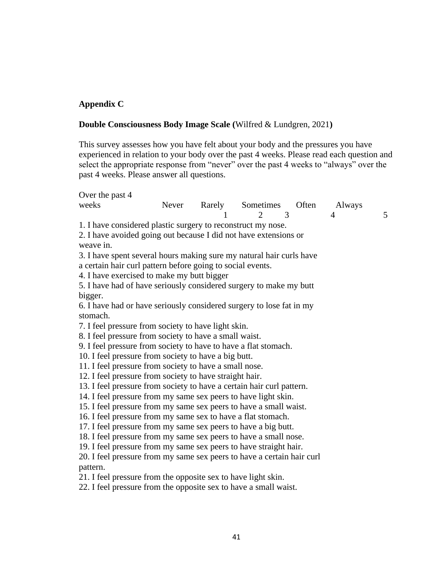### **Appendix C**

### **Double Consciousness Body Image Scale (**Wilfred & Lundgren, 2021**)**

This survey assesses how you have felt about your body and the pressures you have experienced in relation to your body over the past 4 weeks. Please read each question and select the appropriate response from "never" over the past 4 weeks to "always" over the past 4 weeks. Please answer all questions.

| Over the past 4                                                        |       |                            |       |        |   |
|------------------------------------------------------------------------|-------|----------------------------|-------|--------|---|
| weeks                                                                  | Never | Rarely Sometimes           | Often | Always |   |
|                                                                        |       | 3<br>$\mathcal{D}_{\cdot}$ |       | 4      | 5 |
| 1. I have considered plastic surgery to reconstruct my nose.           |       |                            |       |        |   |
| 2. I have avoided going out because I did not have extensions or       |       |                            |       |        |   |
| weave in.                                                              |       |                            |       |        |   |
| 3. I have spent several hours making sure my natural hair curls have   |       |                            |       |        |   |
| a certain hair curl pattern before going to social events.             |       |                            |       |        |   |
| 4. I have exercised to make my butt bigger                             |       |                            |       |        |   |
| 5. I have had of have seriously considered surgery to make my butt     |       |                            |       |        |   |
| bigger.                                                                |       |                            |       |        |   |
| 6. I have had or have seriously considered surgery to lose fat in my   |       |                            |       |        |   |
| stomach.                                                               |       |                            |       |        |   |
| 7. I feel pressure from society to have light skin.                    |       |                            |       |        |   |
| 8. I feel pressure from society to have a small waist.                 |       |                            |       |        |   |
| 9. I feel pressure from society to have to have a flat stomach.        |       |                            |       |        |   |
| 10. I feel pressure from society to have a big butt.                   |       |                            |       |        |   |
| 11. I feel pressure from society to have a small nose.                 |       |                            |       |        |   |
| 12. I feel pressure from society to have straight hair.                |       |                            |       |        |   |
| 13. I feel pressure from society to have a certain hair curl pattern.  |       |                            |       |        |   |
| 14. I feel pressure from my same sex peers to have light skin.         |       |                            |       |        |   |
| 15. I feel pressure from my same sex peers to have a small waist.      |       |                            |       |        |   |
| 16. I feel pressure from my same sex to have a flat stomach.           |       |                            |       |        |   |
| 17. I feel pressure from my same sex peers to have a big butt.         |       |                            |       |        |   |
| 18. I feel pressure from my same sex peers to have a small nose.       |       |                            |       |        |   |
| 19. I feel pressure from my same sex peers to have straight hair.      |       |                            |       |        |   |
| 20. I feel pressure from my same sex peers to have a certain hair curl |       |                            |       |        |   |
| pattern.                                                               |       |                            |       |        |   |
| 21. I feel pressure from the opposite sex to have light skin.          |       |                            |       |        |   |
| 22. I feel pressure from the opposite sex to have a small waist.       |       |                            |       |        |   |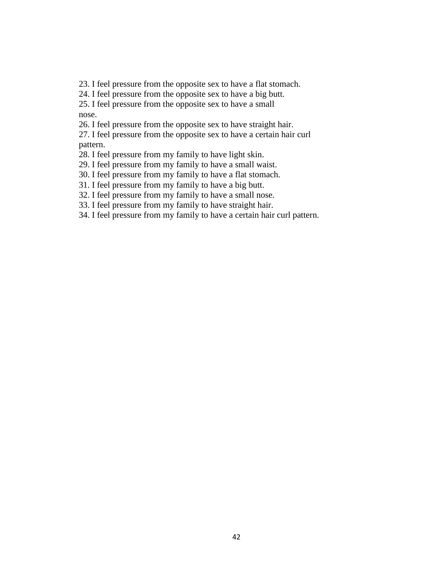23. I feel pressure from the opposite sex to have a flat stomach.

24. I feel pressure from the opposite sex to have a big butt. 25. I feel pressure from the opposite sex to have a small

nose.

26. I feel pressure from the opposite sex to have straight hair.

27. I feel pressure from the opposite sex to have a certain hair curl pattern.

28. I feel pressure from my family to have light skin.

29. I feel pressure from my family to have a small waist.

30. I feel pressure from my family to have a flat stomach.

31. I feel pressure from my family to have a big butt.

32. I feel pressure from my family to have a small nose.

33. I feel pressure from my family to have straight hair.

34. I feel pressure from my family to have a certain hair curl pattern.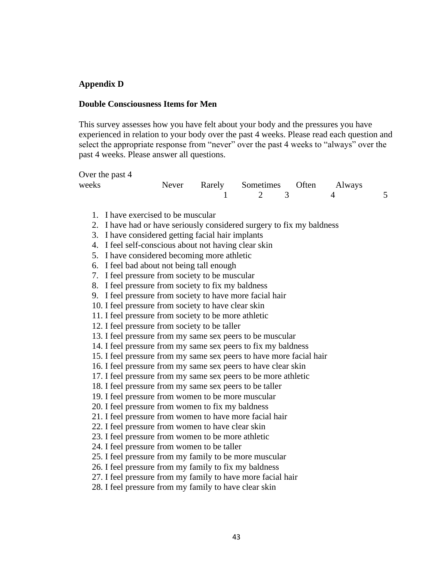### **Appendix D**

#### **Double Consciousness Items for Men**

This survey assesses how you have felt about your body and the pressures you have experienced in relation to your body over the past 4 weeks. Please read each question and select the appropriate response from "never" over the past 4 weeks to "always" over the past 4 weeks. Please answer all questions.

Over the past 4

| weeks |  | Never Rarely Sometimes Often Always |  |  |
|-------|--|-------------------------------------|--|--|
|       |  | $1 \t 2 \t 3$                       |  |  |

- 1. I have exercised to be muscular
- 2. I have had or have seriously considered surgery to fix my baldness
- 3. I have considered getting facial hair implants
- 4. I feel self-conscious about not having clear skin
- 5. I have considered becoming more athletic
- 6. I feel bad about not being tall enough
- 7. I feel pressure from society to be muscular
- 8. I feel pressure from society to fix my baldness
- 9. I feel pressure from society to have more facial hair
- 10. I feel pressure from society to have clear skin
- 11. I feel pressure from society to be more athletic
- 12. I feel pressure from society to be taller
- 13. I feel pressure from my same sex peers to be muscular
- 14. I feel pressure from my same sex peers to fix my baldness
- 15. I feel pressure from my same sex peers to have more facial hair
- 16. I feel pressure from my same sex peers to have clear skin
- 17. I feel pressure from my same sex peers to be more athletic
- 18. I feel pressure from my same sex peers to be taller
- 19. I feel pressure from women to be more muscular
- 20. I feel pressure from women to fix my baldness
- 21. I feel pressure from women to have more facial hair
- 22. I feel pressure from women to have clear skin
- 23. I feel pressure from women to be more athletic
- 24. I feel pressure from women to be taller
- 25. I feel pressure from my family to be more muscular
- 26. I feel pressure from my family to fix my baldness
- 27. I feel pressure from my family to have more facial hair
- 28. I feel pressure from my family to have clear skin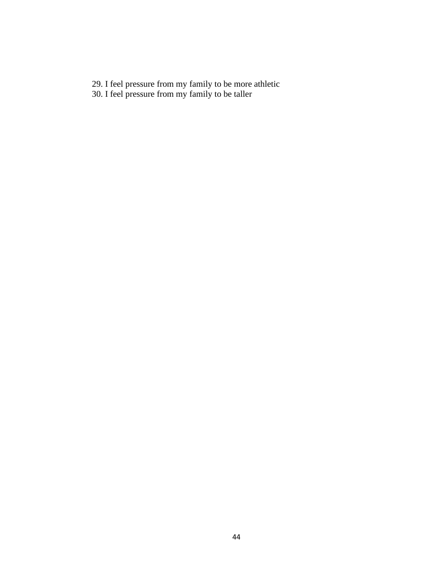- 29. I feel pressure from my family to be more athletic
- 30. I feel pressure from my family to be taller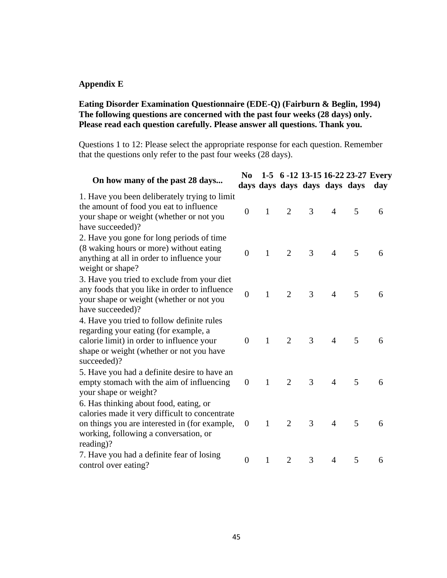### **Appendix E**

### **Eating Disorder Examination Questionnaire (EDE-Q) (Fairburn & Beglin, 1994) The following questions are concerned with the past four weeks (28 days) only. Please read each question carefully. Please answer all questions. Thank you.**

Questions 1 to 12: Please select the appropriate response for each question. Remember that the questions only refer to the past four weeks (28 days).

| On how many of the past 28 days                                                                                                                                                                 | N <sub>0</sub>   |              |                | days days days days days days |                |   | 1-5 6 -12 13-15 16-22 23-27 Every<br>day |
|-------------------------------------------------------------------------------------------------------------------------------------------------------------------------------------------------|------------------|--------------|----------------|-------------------------------|----------------|---|------------------------------------------|
| 1. Have you been deliberately trying to limit<br>the amount of food you eat to influence<br>your shape or weight (whether or not you<br>have succeeded)?                                        | $\overline{0}$   | $\mathbf{1}$ | 2              | 3                             | $\overline{4}$ | 5 | 6                                        |
| 2. Have you gone for long periods of time<br>(8 waking hours or more) without eating<br>anything at all in order to influence your<br>weight or shape?                                          | $\overline{0}$   | $\mathbf{1}$ | $\overline{2}$ | 3                             | $\overline{4}$ | 5 | 6                                        |
| 3. Have you tried to exclude from your diet<br>any foods that you like in order to influence<br>your shape or weight (whether or not you<br>have succeeded)?                                    | $\overline{0}$   | $\mathbf{1}$ | $\overline{2}$ | 3                             | $\overline{4}$ | 5 | 6                                        |
| 4. Have you tried to follow definite rules<br>regarding your eating (for example, a<br>calorie limit) in order to influence your<br>shape or weight (whether or not you have<br>succeeded)?     | $\overline{0}$   | $\mathbf{1}$ | 2              | 3                             | $\overline{4}$ | 5 | 6                                        |
| 5. Have you had a definite desire to have an<br>empty stomach with the aim of influencing<br>your shape or weight?                                                                              | $\overline{0}$   | $\mathbf{1}$ | 2              | 3                             | $\overline{4}$ | 5 | 6                                        |
| 6. Has thinking about food, eating, or<br>calories made it very difficult to concentrate<br>on things you are interested in (for example,<br>working, following a conversation, or<br>reading)? | $\boldsymbol{0}$ | $\mathbf{1}$ | $\overline{2}$ | 3                             | $\overline{4}$ | 5 | 6                                        |
| 7. Have you had a definite fear of losing<br>control over eating?                                                                                                                               | $\overline{0}$   | $\mathbf{1}$ | $\overline{2}$ | 3                             | $\overline{4}$ | 5 | 6                                        |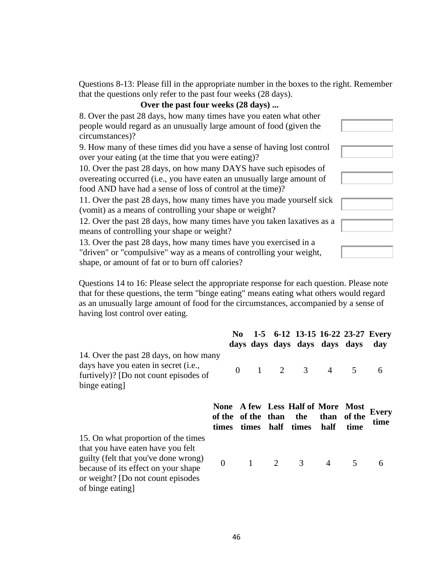Questions 8-13: Please fill in the appropriate number in the boxes to the right. Remember that the questions only refer to the past four weeks (28 days).

### **Over the past four weeks (28 days) ...**

| 8. Over the past 28 days, how many times have you eaten what other<br>people would regard as an unusually large amount of food (given the<br>circumstances)?                                              |  |
|-----------------------------------------------------------------------------------------------------------------------------------------------------------------------------------------------------------|--|
| 9. How many of these times did you have a sense of having lost control<br>over your eating (at the time that you were eating)?                                                                            |  |
| 10. Over the past 28 days, on how many DAYS have such episodes of<br>overeating occurred (i.e., you have eaten an unusually large amount of<br>food AND have had a sense of loss of control at the time)? |  |
| 11. Over the past 28 days, how many times have you made yourself sick<br>(vomit) as a means of controlling your shape or weight?                                                                          |  |
| 12. Over the past 28 days, how many times have you taken laxatives as a<br>means of controlling your shape or weight?                                                                                     |  |
| 13. Over the past 28 days, how many times have you exercised in a<br>"driven" or "compulsive" way as a means of controlling your weight,<br>shape, or amount of fat or to burn off calories?              |  |

Questions 14 to 16: Please select the appropriate response for each question. Please note that for these questions, the term "binge eating" means eating what others would regard as an unusually large amount of food for the circumstances, accompanied by a sense of having lost control over eating.

|                                                                                                                                                                                               |                                 | N <sub>0</sub> |  | 1-5 6-12 13-15 16-22 23-27 Every<br>days days days days days |              |                | day                  |
|-----------------------------------------------------------------------------------------------------------------------------------------------------------------------------------------------|---------------------------------|----------------|--|--------------------------------------------------------------|--------------|----------------|----------------------|
| 14. Over the past 28 days, on how many<br>days have you eaten in secret ( <i>i.e.</i> ,<br>furtively)? [Do not count episodes of<br>binge eating                                              |                                 |                |  | $0 \t 1 \t 2 \t 3 \t 4 \t 5$                                 |              |                | 6                    |
|                                                                                                                                                                                               | of the of the than the<br>times |                |  | None A few Less Half of More Most<br>times half times        | than<br>half | of the<br>time | <b>Every</b><br>time |
| 15. On what proportion of the times<br>that you have eaten have you felt<br>guilty (felt that you've done wrong)<br>because of its effect on your shape<br>or weight? [Do not count episodes] | $\overline{0}$                  |                |  | $1 \qquad 2 \qquad 3$                                        |              | $4\quad 5$     | 6                    |

of binge eating]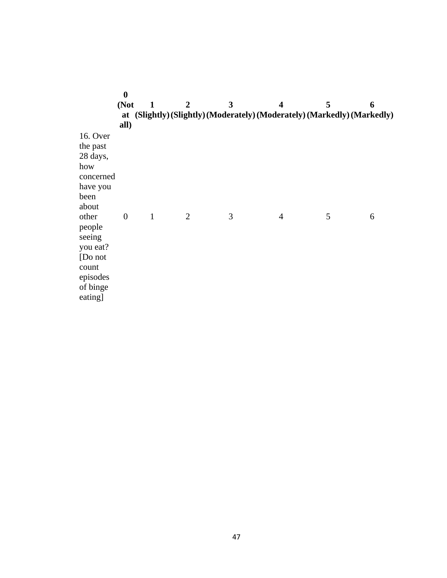|                                                                                                                                                                                    | $\bf{0}$<br>(Not<br>at<br>all) | $\mathbf{1}$ | $\overline{2}$ | 3 | $\boldsymbol{4}$<br>(Slightly) (Slightly) (Moderately) (Moderately) (Markedly) (Markedly) | 5 | 6 |
|------------------------------------------------------------------------------------------------------------------------------------------------------------------------------------|--------------------------------|--------------|----------------|---|-------------------------------------------------------------------------------------------|---|---|
| 16. Over<br>the past<br>28 days,<br>how<br>concerned<br>have you<br>been<br>about<br>other<br>people<br>seeing<br>you eat?<br>[Do not]<br>count<br>episodes<br>of binge<br>eating] | $\theta$                       | $\mathbf{1}$ | $\overline{2}$ | 3 | $\overline{4}$                                                                            | 5 | 6 |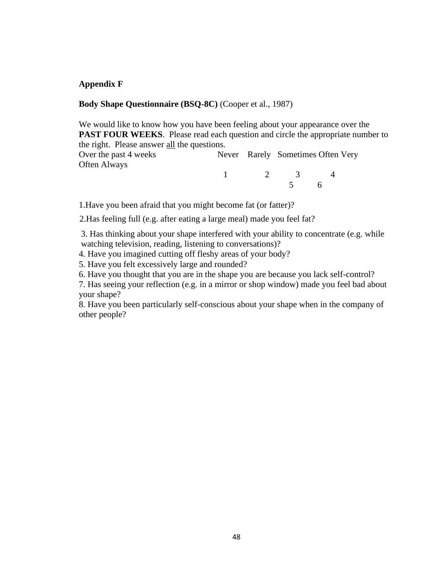### **Appendix F**

### **Body Shape Questionnaire (BSQ-8C)** (Cooper et al., 1987)

We would like to know how you have been feeling about your appearance over the **PAST FOUR WEEKS**. Please read each question and circle the appropriate number to the right. Please answer all the questions.

Over the past 4 weeks Never Rarely Sometimes Often Very Often Always 1 2 3 4

5 6

1.Have you been afraid that you might become fat (or fatter)?

2.Has feeling full (e.g. after eating a large meal) made you feel fat?

3. Has thinking about your shape interfered with your ability to concentrate (e.g. while watching television, reading, listening to conversations)?

4. Have you imagined cutting off fleshy areas of your body?

5. Have you felt excessively large and rounded?

6. Have you thought that you are in the shape you are because you lack self-control?

7. Has seeing your reflection (e.g. in a mirror or shop window) made you feel bad about your shape?

8. Have you been particularly self-conscious about your shape when in the company of other people?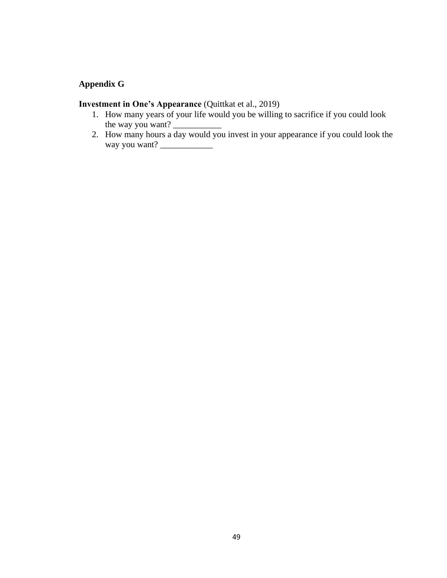## **Appendix G**

### **Investment in One's Appearance** (Quittkat et al., 2019)

- 1. How many years of your life would you be willing to sacrifice if you could look the way you want?
- 2. How many hours a day would you invest in your appearance if you could look the way you want? \_\_\_\_\_\_\_\_\_\_\_\_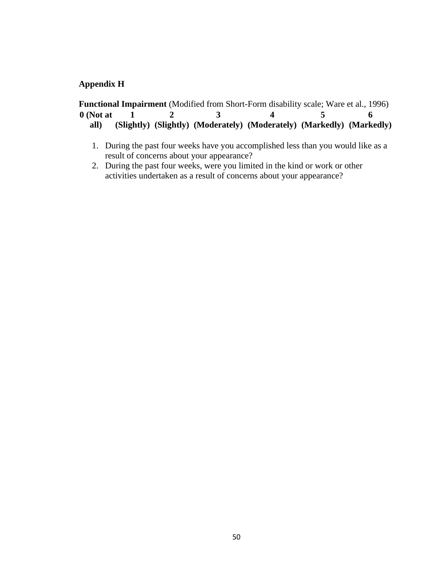### **Appendix H**

|             |  | <b>Functional Impairment</b> (Modified from Short-Form disability scale; Ware et al., 1996) |  |
|-------------|--|---------------------------------------------------------------------------------------------|--|
| $0$ (Not at |  |                                                                                             |  |
| all)        |  | (Slightly) (Slightly) (Moderately) (Moderately) (Markedly) (Markedly)                       |  |

- 1. During the past four weeks have you accomplished less than you would like as a result of concerns about your appearance?
- 2. During the past four weeks, were you limited in the kind or work or other activities undertaken as a result of concerns about your appearance?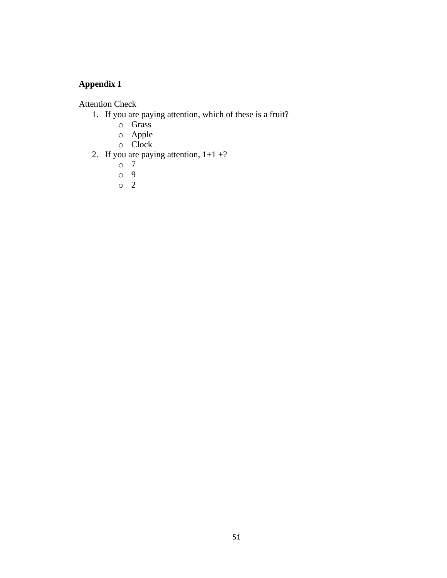# **Appendix I**

Attention Check

- 1. If you are paying attention, which of these is a fruit?
	- o Grass
	- o Apple
	- o Clock
- 2. If you are paying attention,  $1+1+?$ 
	- o 7
	- o 9
	- o 2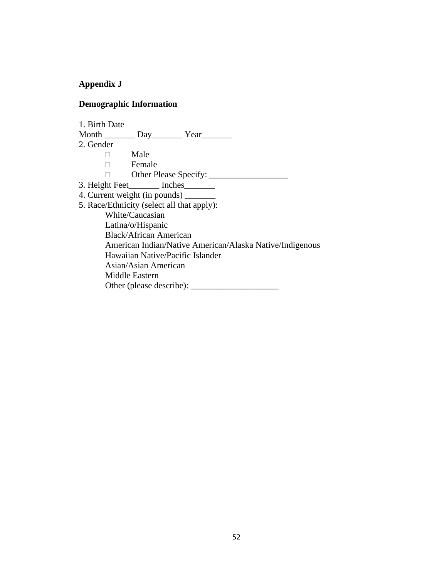## **Appendix J**

### **Demographic Information**

1. Birth Date Month \_\_\_\_\_\_\_ Day\_\_\_\_\_\_\_ Year\_\_\_\_\_\_\_ 2. Gender Male Female Other Please Specify: \_\_\_\_\_\_\_\_\_\_\_\_\_\_\_\_\_\_ 3. Height Feet\_\_\_\_\_\_\_ Inches\_\_\_\_\_\_\_ 4. Current weight (in pounds) \_\_\_\_\_\_\_ 5. Race/Ethnicity (select all that apply): White/Caucasian Latina/o/Hispanic Black/African American American Indian/Native American/Alaska Native/Indigenous Hawaiian Native/Pacific Islander Asian/Asian American Middle Eastern Other (please describe): \_\_\_\_\_\_\_\_\_\_\_\_\_\_\_\_\_\_\_\_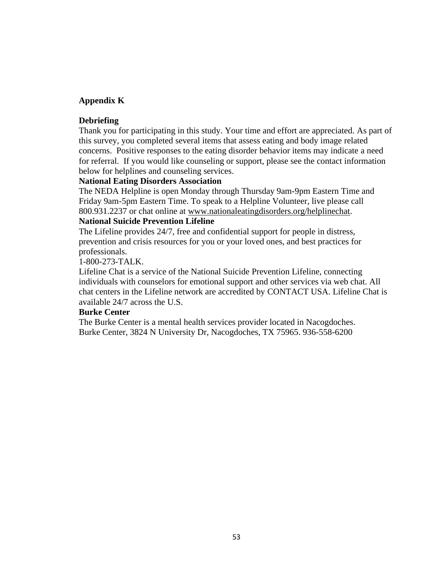### **Appendix K**

### **Debriefing**

Thank you for participating in this study. Your time and effort are appreciated. As part of this survey, you completed several items that assess eating and body image related concerns. Positive responses to the eating disorder behavior items may indicate a need for referral. If you would like counseling or support, please see the contact information below for helplines and counseling services.

### **National Eating Disorders Association**

The NEDA Helpline is open Monday through Thursday 9am-9pm Eastern Time and Friday 9am-5pm Eastern Time. To speak to a Helpline Volunteer, live please call 800.931.2237 or chat online at [www.nationaleatingdisorders.org/helplinechat.](http://www.nationaleatingdisorders.org/helplinechat)

### **National Suicide Prevention Lifeline**

The Lifeline provides 24/7, free and confidential support for people in distress, prevention and crisis resources for you or your loved ones, and best practices for professionals.

### 1-800-273-TALK.

Lifeline Chat is a service of the National Suicide Prevention Lifeline, connecting individuals with counselors for emotional support and other services via web chat. All chat centers in the Lifeline network are accredited by CONTACT USA. Lifeline Chat is available 24/7 across the U.S.

### **Burke Center**

The Burke Center is a mental health services provider located in Nacogdoches. Burke Center, 3824 N University Dr, Nacogdoches, TX 75965. 936-558-6200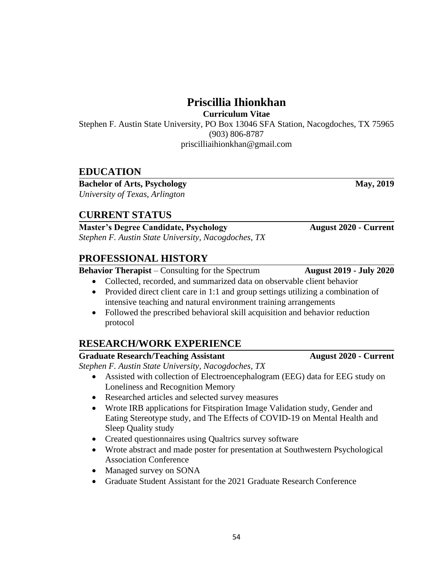**Priscillia Ihionkhan**

**Curriculum Vitae**

Stephen F. Austin State University, PO Box 13046 SFA Station, Nacogdoches, TX 75965 (903) 806-8787 priscilliaihionkhan@gmail.com

# **EDUCATION**

**Bachelor of Arts, Psychology May, 2019** *University of Texas, Arlington*

# **CURRENT STATUS**

**Master's Degree Candidate, Psychology August 2020 - Current** *Stephen F. Austin State University, Nacogdoches, TX*

# **PROFESSIONAL HISTORY**

**Behavior Therapist** – Consulting for the Spectrum **August 2019 - July 2020**

- Collected, recorded, and summarized data on observable client behavior
- Provided direct client care in 1:1 and group settings utilizing a combination of intensive teaching and natural environment training arrangements
- Followed the prescribed behavioral skill acquisition and behavior reduction protocol

# **RESEARCH/WORK EXPERIENCE**

### **Graduate Research/Teaching Assistant August 2020 - Current**

*Stephen F. Austin State University, Nacogdoches, TX*

- Assisted with collection of Electroencephalogram (EEG) data for EEG study on Loneliness and Recognition Memory
- Researched articles and selected survey measures
- Wrote IRB applications for Fitspiration Image Validation study, Gender and Eating Stereotype study, and The Effects of COVID-19 on Mental Health and Sleep Quality study
- Created questionnaires using Qualtrics survey software
- Wrote abstract and made poster for presentation at Southwestern Psychological Association Conference
- Managed survey on SONA
- Graduate Student Assistant for the 2021 Graduate Research Conference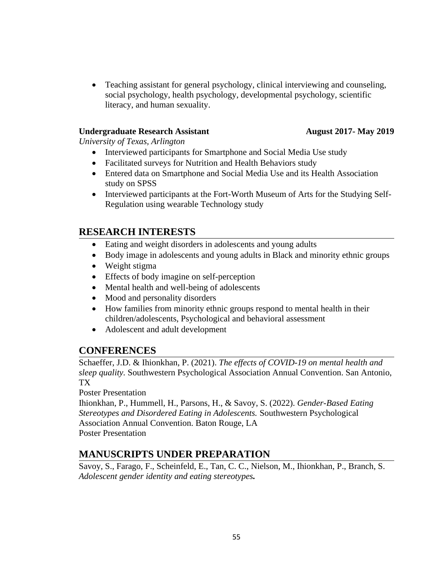• Teaching assistant for general psychology, clinical interviewing and counseling, social psychology, health psychology, developmental psychology, scientific literacy, and human sexuality.

### **Undergraduate Research Assistant August 2017- May 2019**

*University of Texas, Arlington*

- Interviewed participants for Smartphone and Social Media Use study
- Facilitated surveys for Nutrition and Health Behaviors study
- Entered data on Smartphone and Social Media Use and its Health Association study on SPSS
- Interviewed participants at the Fort-Worth Museum of Arts for the Studying Self-Regulation using wearable Technology study

# **RESEARCH INTERESTS**

- Eating and weight disorders in adolescents and young adults
- Body image in adolescents and young adults in Black and minority ethnic groups
- Weight stigma
- Effects of body imagine on self-perception
- Mental health and well-being of adolescents
- Mood and personality disorders
- How families from minority ethnic groups respond to mental health in their children/adolescents, Psychological and behavioral assessment
- Adolescent and adult development

## **CONFERENCES**

Schaeffer, J.D. & Ihionkhan, P. (2021). *The effects of COVID-19 on mental health and sleep quality.* Southwestern Psychological Association Annual Convention. San Antonio, TX

Poster Presentation

Ihionkhan, P., Hummell, H., Parsons, H., & Savoy, S. (2022). *Gender-Based Eating Stereotypes and Disordered Eating in Adolescents.* Southwestern Psychological Association Annual Convention. Baton Rouge, LA Poster Presentation

# **MANUSCRIPTS UNDER PREPARATION**

Savoy, S., Farago, F., Scheinfeld, E., Tan, C. C., Nielson, M., Ihionkhan, P., Branch, S. *Adolescent gender identity and eating stereotypes.*